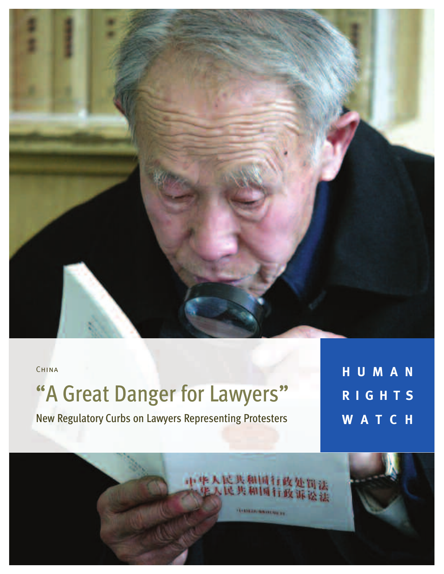

人民共和国行政处罚法<br>人民共和国行政诉讼法

**SYSTEM RESERVE BY** 

**CHINA** 

# "A Great Danger for Lawyers"

New Regulatory Curbs on Lawyers Representing Protesters

**H U M A N R I G H T S W A T C H**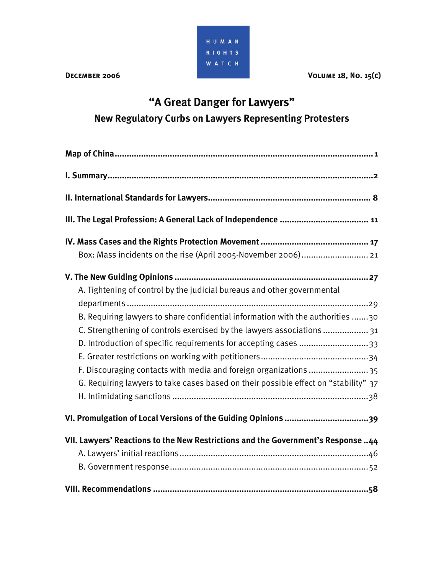

**DECEMBER 2006** VOLUME 18, NO. 15(C)

# **"A Great Danger for Lawyers" New Regulatory Curbs on Lawyers Representing Protesters**

| Box: Mass incidents on the rise (April 2005-November 2006) 21                       |
|-------------------------------------------------------------------------------------|
|                                                                                     |
| A. Tightening of control by the judicial bureaus and other governmental             |
|                                                                                     |
| B. Requiring lawyers to share confidential information with the authorities 30      |
| C. Strengthening of controls exercised by the lawyers associations  31              |
| D. Introduction of specific requirements for accepting cases 33                     |
|                                                                                     |
| F. Discouraging contacts with media and foreign organizations 35                    |
| G. Requiring lawyers to take cases based on their possible effect on "stability" 37 |
|                                                                                     |
|                                                                                     |
| VII. Lawyers' Reactions to the New Restrictions and the Government's Response 44    |
|                                                                                     |
|                                                                                     |
|                                                                                     |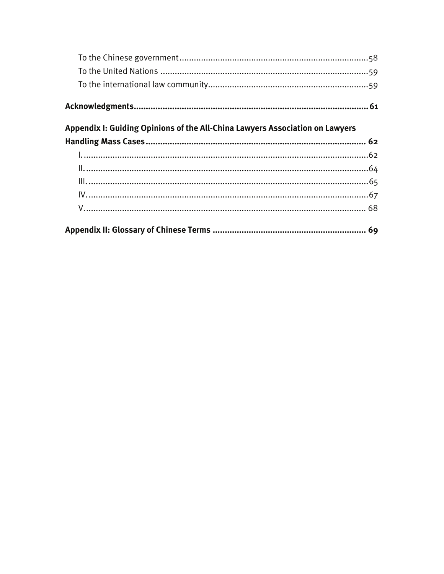| Appendix I: Guiding Opinions of the All-China Lawyers Association on Lawyers |  |
|------------------------------------------------------------------------------|--|
|                                                                              |  |
|                                                                              |  |
|                                                                              |  |
|                                                                              |  |
|                                                                              |  |
|                                                                              |  |
|                                                                              |  |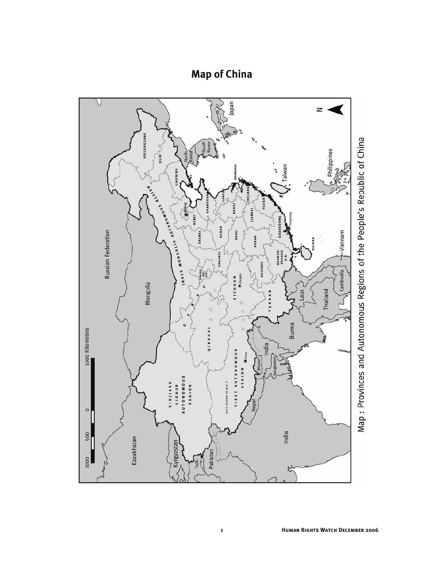# **Map of China**

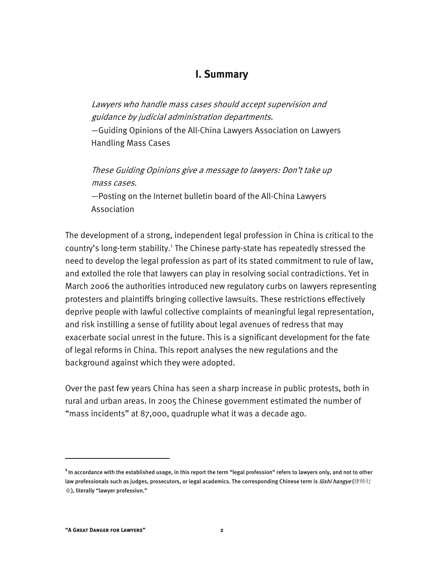#### **I. Summary**

Lawyers who handle mass cases should accept supervision and guidance by judicial administration departments. —Guiding Opinions of the All-China Lawyers Association on Lawyers

Handling Mass Cases

These Guiding Opinions give a message to lawyers: Don't take up mass cases.

—Posting on the Internet bulletin board of the All-China Lawyers Association

The development of a strong, independent legal profession in China is critical to the country's long-term stability.<sup>1</sup> The Chinese party-state has repeatedly stressed the need to develop the legal profession as part of its stated commitment to rule of law, and extolled the role that lawyers can play in resolving social contradictions. Yet in March 2006 the authorities introduced new regulatory curbs on lawyers representing protesters and plaintiffs bringing collective lawsuits. These restrictions effectively deprive people with lawful collective complaints of meaningful legal representation, and risk instilling a sense of futility about legal avenues of redress that may exacerbate social unrest in the future. This is a significant development for the fate of legal reforms in China. This report analyses the new regulations and the background against which they were adopted.

Over the past few years China has seen a sharp increase in public protests, both in rural and urban areas. In 2005 the Chinese government estimated the number of "mass incidents" at 87,000, quadruple what it was a decade ago.

**<sup>1</sup>**In accordance with the established usage, in this report the term "legal profession" refers to lawyers only, and not to other law professionals such as judges, prosecutors, or legal academics. The corresponding Chinese term is *lüshi hangye* (律师行 业), literally "lawyer profession."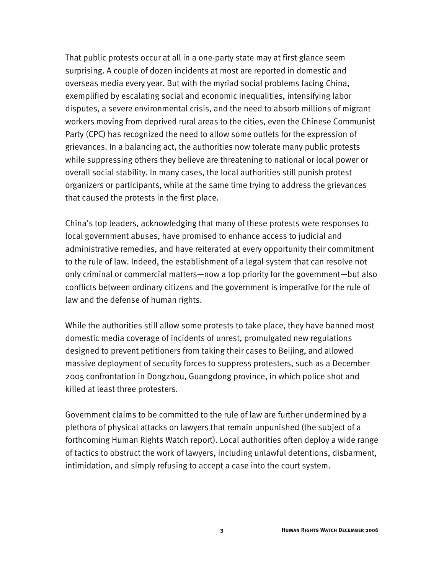That public protests occur at all in a one-party state may at first glance seem surprising. A couple of dozen incidents at most are reported in domestic and overseas media every year. But with the myriad social problems facing China, exemplified by escalating social and economic inequalities, intensifying labor disputes, a severe environmental crisis, and the need to absorb millions of migrant workers moving from deprived rural areas to the cities, even the Chinese Communist Party (CPC) has recognized the need to allow some outlets for the expression of grievances. In a balancing act, the authorities now tolerate many public protests while suppressing others they believe are threatening to national or local power or overall social stability. In many cases, the local authorities still punish protest organizers or participants, while at the same time trying to address the grievances that caused the protests in the first place.

China's top leaders, acknowledging that many of these protests were responses to local government abuses, have promised to enhance access to judicial and administrative remedies, and have reiterated at every opportunity their commitment to the rule of law. Indeed, the establishment of a legal system that can resolve not only criminal or commercial matters—now a top priority for the government—but also conflicts between ordinary citizens and the government is imperative for the rule of law and the defense of human rights.

While the authorities still allow some protests to take place, they have banned most domestic media coverage of incidents of unrest, promulgated new regulations designed to prevent petitioners from taking their cases to Beijing, and allowed massive deployment of security forces to suppress protesters, such as a December 2005 confrontation in Dongzhou, Guangdong province, in which police shot and killed at least three protesters.

Government claims to be committed to the rule of law are further undermined by a plethora of physical attacks on lawyers that remain unpunished (the subject of a forthcoming Human Rights Watch report). Local authorities often deploy a wide range of tactics to obstruct the work of lawyers, including unlawful detentions, disbarment, intimidation, and simply refusing to accept a case into the court system.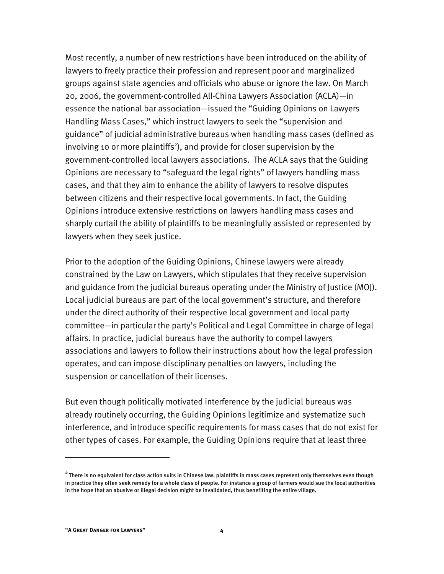Most recently, a number of new restrictions have been introduced on the ability of lawyers to freely practice their profession and represent poor and marginalized groups against state agencies and officials who abuse or ignore the law. On March 20, 2006, the government-controlled All-China Lawyers Association (ACLA)—in essence the national bar association—issued the "Guiding Opinions on Lawyers Handling Mass Cases," which instruct lawyers to seek the "supervision and guidance" of judicial administrative bureaus when handling mass cases (defined as involving 10 or more plaintiffs<sup>2</sup>), and provide for closer supervision by the government-controlled local lawyers associations. The ACLA says that the Guiding Opinions are necessary to "safeguard the legal rights" of lawyers handling mass cases, and that they aim to enhance the ability of lawyers to resolve disputes between citizens and their respective local governments. In fact, the Guiding Opinions introduce extensive restrictions on lawyers handling mass cases and sharply curtail the ability of plaintiffs to be meaningfully assisted or represented by lawyers when they seek justice.

Prior to the adoption of the Guiding Opinions, Chinese lawyers were already constrained by the Law on Lawyers, which stipulates that they receive supervision and guidance from the judicial bureaus operating under the Ministry of Justice (MOJ). Local judicial bureaus are part of the local government's structure, and therefore under the direct authority of their respective local government and local party committee—in particular the party's Political and Legal Committee in charge of legal affairs. In practice, judicial bureaus have the authority to compel lawyers associations and lawyers to follow their instructions about how the legal profession operates, and can impose disciplinary penalties on lawyers, including the suspension or cancellation of their licenses.

But even though politically motivated interference by the judicial bureaus was already routinely occurring, the Guiding Opinions legitimize and systematize such interference, and introduce specific requirements for mass cases that do not exist for other types of cases. For example, the Guiding Opinions require that at least three

**<sup>2</sup>**There is no equivalent for class action suits in Chinese law: plaintiffs in mass cases represent only themselves even though in practice they often seek remedy for a whole class of people. For instance a group of farmers would sue the local authorities in the hope that an abusive or illegal decision might be invalidated, thus benefiting the entire village.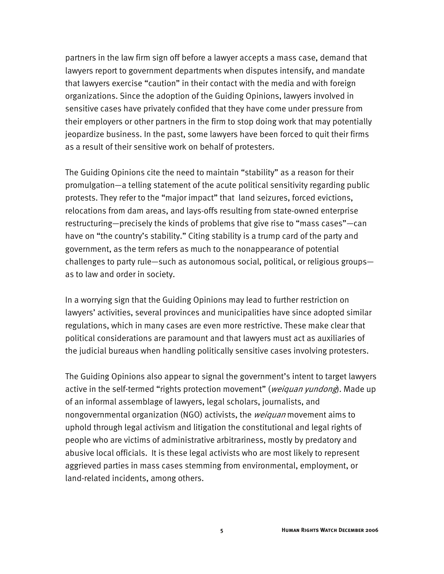partners in the law firm sign off before a lawyer accepts a mass case, demand that lawyers report to government departments when disputes intensify, and mandate that lawyers exercise "caution" in their contact with the media and with foreign organizations. Since the adoption of the Guiding Opinions, lawyers involved in sensitive cases have privately confided that they have come under pressure from their employers or other partners in the firm to stop doing work that may potentially jeopardize business. In the past, some lawyers have been forced to quit their firms as a result of their sensitive work on behalf of protesters.

The Guiding Opinions cite the need to maintain "stability" as a reason for their promulgation—a telling statement of the acute political sensitivity regarding public protests. They refer to the "major impact" that land seizures, forced evictions, relocations from dam areas, and lays-offs resulting from state-owned enterprise restructuring—precisely the kinds of problems that give rise to "mass cases"—can have on "the country's stability." Citing stability is a trump card of the party and government, as the term refers as much to the nonappearance of potential challenges to party rule—such as autonomous social, political, or religious groups as to law and order in society.

In a worrying sign that the Guiding Opinions may lead to further restriction on lawyers' activities, several provinces and municipalities have since adopted similar regulations, which in many cases are even more restrictive. These make clear that political considerations are paramount and that lawyers must act as auxiliaries of the judicial bureaus when handling politically sensitive cases involving protesters.

The Guiding Opinions also appear to signal the government's intent to target lawyers active in the self-termed "rights protection movement" (weiquan yundong). Made up of an informal assemblage of lawyers, legal scholars, journalists, and nongovernmental organization (NGO) activists, the *weiquan* movement aims to uphold through legal activism and litigation the constitutional and legal rights of people who are victims of administrative arbitrariness, mostly by predatory and abusive local officials. It is these legal activists who are most likely to represent aggrieved parties in mass cases stemming from environmental, employment, or land-related incidents, among others.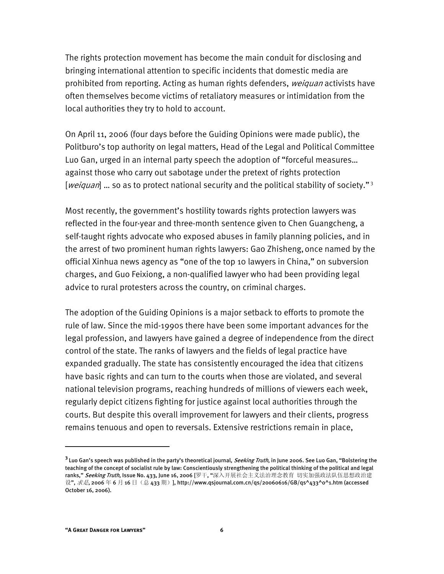The rights protection movement has become the main conduit for disclosing and bringing international attention to specific incidents that domestic media are prohibited from reporting. Acting as human rights defenders, weiquan activists have often themselves become victims of retaliatory measures or intimidation from the local authorities they try to hold to account.

On April 11, 2006 (four days before the Guiding Opinions were made public), the Politburo's top authority on legal matters, Head of the Legal and Political Committee Luo Gan, urged in an internal party speech the adoption of "forceful measures… against those who carry out sabotage under the pretext of rights protection [*weiquan*] ... so as to protect national security and the political stability of society."<sup>3</sup>

Most recently, the government's hostility towards rights protection lawyers was reflected in the four-year and three-month sentence given to Chen Guangcheng, a self-taught rights advocate who exposed abuses in family planning policies, and in the arrest of two prominent human rights lawyers: Gao Zhisheng,once named by the official Xinhua news agency as "one of the top 10 lawyers in China," on subversion charges, and Guo Feixiong, a non-qualified lawyer who had been providing legal advice to rural protesters across the country, on criminal charges.

The adoption of the Guiding Opinions is a major setback to efforts to promote the rule of law. Since the mid-1990s there have been some important advances for the legal profession, and lawyers have gained a degree of independence from the direct control of the state. The ranks of lawyers and the fields of legal practice have expanded gradually. The state has consistently encouraged the idea that citizens have basic rights and can turn to the courts when those are violated, and several national television programs, reaching hundreds of millions of viewers each week, regularly depict citizens fighting for justice against local authorities through the courts. But despite this overall improvement for lawyers and their clients, progress remains tenuous and open to reversals. Extensive restrictions remain in place,

**<sup>3</sup>**Luo Gan's speech was published in the party's theoretical journal, Seeking Truth, in June 2006. See Luo Gan, "Bolstering the teaching of the concept of socialist rule by law: Conscientiously strengthening the political thinking of the political and legal ranks," Seeking Truth, Issue No. 433, June 16, 2006 [罗干, "深入开展社会主义法治理念教育 切实加强政法队伍思想政治建 设", *求是*, 2006 年 6 月 16 日(总 433 期)], http://www.qsjournal.com.cn/qs/20060616/GB/qs^433^0^1.htm (accessed October 16, 2006).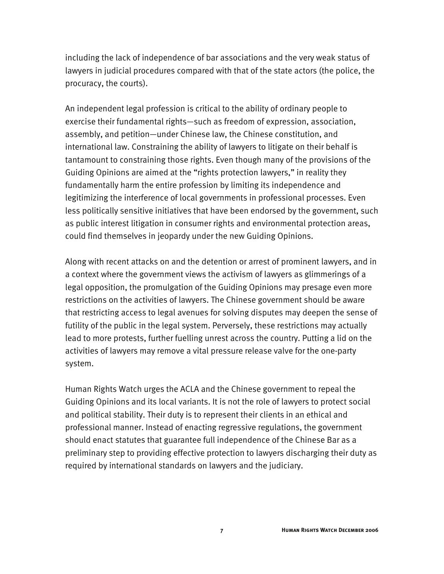including the lack of independence of bar associations and the very weak status of lawyers in judicial procedures compared with that of the state actors (the police, the procuracy, the courts).

An independent legal profession is critical to the ability of ordinary people to exercise their fundamental rights—such as freedom of expression, association, assembly, and petition—under Chinese law, the Chinese constitution, and international law. Constraining the ability of lawyers to litigate on their behalf is tantamount to constraining those rights. Even though many of the provisions of the Guiding Opinions are aimed at the "rights protection lawyers," in reality they fundamentally harm the entire profession by limiting its independence and legitimizing the interference of local governments in professional processes. Even less politically sensitive initiatives that have been endorsed by the government, such as public interest litigation in consumer rights and environmental protection areas, could find themselves in jeopardy under the new Guiding Opinions.

Along with recent attacks on and the detention or arrest of prominent lawyers, and in a context where the government views the activism of lawyers as glimmerings of a legal opposition, the promulgation of the Guiding Opinions may presage even more restrictions on the activities of lawyers. The Chinese government should be aware that restricting access to legal avenues for solving disputes may deepen the sense of futility of the public in the legal system. Perversely, these restrictions may actually lead to more protests, further fuelling unrest across the country. Putting a lid on the activities of lawyers may remove a vital pressure release valve for the one-party system.

Human Rights Watch urges the ACLA and the Chinese government to repeal the Guiding Opinions and its local variants. It is not the role of lawyers to protect social and political stability. Their duty is to represent their clients in an ethical and professional manner. Instead of enacting regressive regulations, the government should enact statutes that guarantee full independence of the Chinese Bar as a preliminary step to providing effective protection to lawyers discharging their duty as required by international standards on lawyers and the judiciary.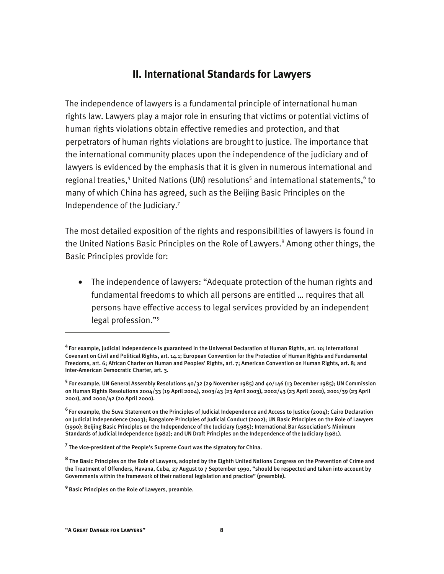#### **II. International Standards for Lawyers**

The independence of lawyers is a fundamental principle of international human rights law. Lawyers play a major role in ensuring that victims or potential victims of human rights violations obtain effective remedies and protection, and that perpetrators of human rights violations are brought to justice. The importance that the international community places upon the independence of the judiciary and of lawyers is evidenced by the emphasis that it is given in numerous international and regional treaties,<sup>4</sup> United Nations (UN) resolutions<sup>5</sup> and international statements,<sup>6</sup> to many of which China has agreed, such as the Beijing Basic Principles on the Independence of the Judiciary.7

The most detailed exposition of the rights and responsibilities of lawyers is found in the United Nations Basic Principles on the Role of Lawyers.<sup>8</sup> Among other things, the Basic Principles provide for:

• The independence of lawyers: "Adequate protection of the human rights and fundamental freedoms to which all persons are entitled … requires that all persons have effective access to legal services provided by an independent legal profession."9

-

**<sup>4</sup>**For example, judicial independence is guaranteed in the Universal Declaration of Human Rights, art. 10; International Covenant on Civil and Political Rights, art. 14.1; European Convention for the Protection of Human Rights and Fundamental Freedoms, art. 6; African Charter on Human and Peoples' Rights, art. 7; American Convention on Human Rights, art. 8; and Inter-American Democratic Charter, art. 3.

**<sup>5</sup>** For example, UN General Assembly Resolutions 40/32 (29 November 1985) and 40/146 (13 December 1985); UN Commission on Human Rights Resolutions 2004/33 (19 April 2004), 2003/43 (23 April 2003), 2002/43 (23 April 2002), 2001/39 (23 April 2001), and 2000/42 (20 April 2000).

**<sup>6</sup>**For example, the Suva Statement on the Principles of Judicial Independence and Access to Justice (2004); Cairo Declaration on Judicial Independence (2003); Bangalore Principles of Judicial Conduct (2002); UN Basic Principles on the Role of Lawyers (1990); Beijing Basic Principles on the Independence of the Judiciary (1985); International Bar Association's Minimum Standards of Judicial Independence (1982); and UN Draft Principles on the Independence of the Judiciary (1981).

**<sup>7</sup>** The vice-president of the People's Supreme Court was the signatory for China.

**<sup>8</sup>** The Basic Principles on the Role of Lawyers, adopted by the Eighth United Nations Congress on the Prevention of Crime and the Treatment of Offenders, Havana, Cuba, 27 August to 7 September 1990, "should be respected and taken into account by Governments within the framework of their national legislation and practice" (preamble).

**<sup>9</sup>**Basic Principles on the Role of Lawyers, preamble.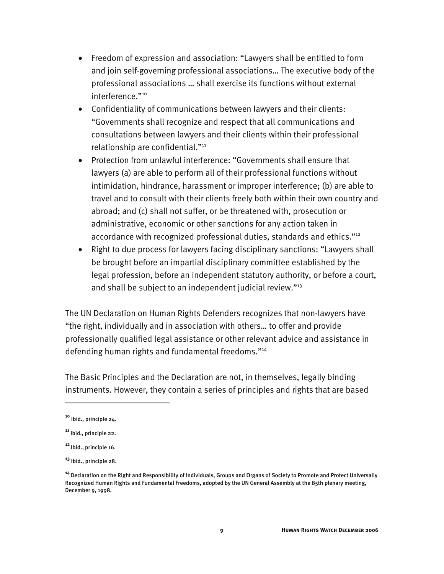- Freedom of expression and association: "Lawyers shall be entitled to form and join self-governing professional associations… The executive body of the professional associations … shall exercise its functions without external interference."<sup>10</sup>
- Confidentiality of communications between lawyers and their clients: "Governments shall recognize and respect that all communications and consultations between lawyers and their clients within their professional relationship are confidential."<sup>11</sup>
- Protection from unlawful interference: "Governments shall ensure that lawyers (a) are able to perform all of their professional functions without intimidation, hindrance, harassment or improper interference; (b) are able to travel and to consult with their clients freely both within their own country and abroad; and (c) shall not suffer, or be threatened with, prosecution or administrative, economic or other sanctions for any action taken in accordance with recognized professional duties, standards and ethics."<sup>12</sup>
- Right to due process for lawyers facing disciplinary sanctions: "Lawyers shall be brought before an impartial disciplinary committee established by the legal profession, before an independent statutory authority, or before a court, and shall be subject to an independent judicial review."<sup>13</sup>

The UN Declaration on Human Rights Defenders recognizes that non-lawyers have "the right, individually and in association with others… to offer and provide professionally qualified legal assistance or other relevant advice and assistance in defending human rights and fundamental freedoms."14

The Basic Principles and the Declaration are not, in themselves, legally binding instruments. However, they contain a series of principles and rights that are based

**<sup>10</sup>** Ibid., principle 24.

**<sup>11</sup>** Ibid., principle 22.

**<sup>12</sup>**Ibid., principle 16.

**<sup>13</sup>** Ibid., principle 28.

**<sup>14</sup>**Declaration on the Right and Responsibility of Individuals, Groups and Organs of Society to Promote and Protect Universally Recognized Human Rights and Fundamental Freedoms, adopted by the UN General Assembly at the 85th plenary meeting, December 9, 1998.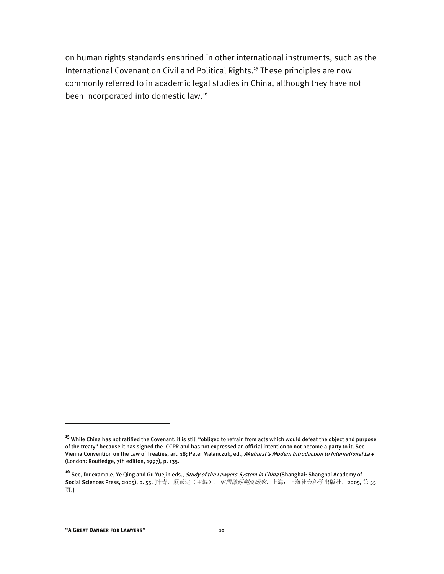on human rights standards enshrined in other international instruments, such as the International Covenant on Civil and Political Rights.<sup>15</sup> These principles are now commonly referred to in academic legal studies in China, although they have not been incorporated into domestic law.16

**<sup>15</sup>** While China has not ratified the Covenant, it is still "obliged to refrain from acts which would defeat the object and purpose of the treaty" because it has signed the ICCPR and has not expressed an official intention to not become a party to it. See Vienna Convention on the Law of Treaties, art. 18; Peter Malanczuk, ed., Akehurst's Modern Introduction to International Law (London: Routledge, 7th edition, 1997), p. 135.

**<sup>16</sup>** See, for example, Ye Qing and Gu Yuejin eds., Study of the Lawyers System in China (Shanghai: Shanghai Academy of Social Sciences Press, 2005), p. 55. [叶青, 顾跃进(主编), *中国律师制度研究*, 上海: 上海社会科学出版社, 2005, 第 55 页.]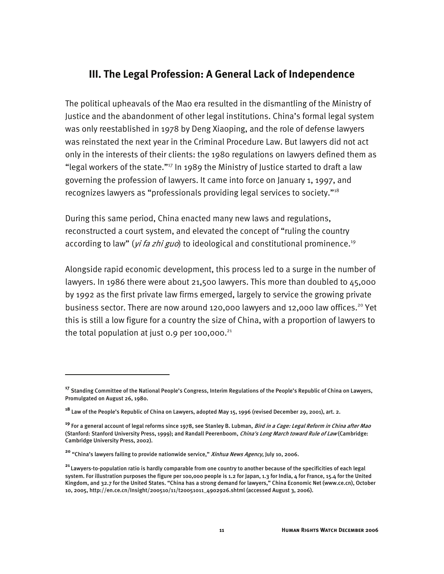#### **III. The Legal Profession: A General Lack of Independence**

The political upheavals of the Mao era resulted in the dismantling of the Ministry of Justice and the abandonment of other legal institutions. China's formal legal system was only reestablished in 1978 by Deng Xiaoping, and the role of defense lawyers was reinstated the next year in the Criminal Procedure Law. But lawyers did not act only in the interests of their clients: the 1980 regulations on lawyers defined them as "legal workers of the state."17 In 1989 the Ministry of Justice started to draft a law governing the profession of lawyers. It came into force on January 1, 1997, and recognizes lawyers as "professionals providing legal services to society."18

During this same period, China enacted many new laws and regulations, reconstructed a court system, and elevated the concept of "ruling the country according to law" (*yi fa zhi guo*) to ideological and constitutional prominence.<sup>19</sup>

Alongside rapid economic development, this process led to a surge in the number of lawyers. In 1986 there were about 21,500 lawyers. This more than doubled to 45,000 by 1992 as the first private law firms emerged, largely to service the growing private business sector. There are now around 120,000 lawyers and 12,000 law offices.<sup>20</sup> Yet this is still a low figure for a country the size of China, with a proportion of lawyers to the total population at just 0.9 per 100,000. $^{21}$ 

**<sup>17</sup>** Standing Committee of the National People's Congress, Interim Regulations of the People's Republic of China on Lawyers, Promulgated on August 26, 1980.

**<sup>18</sup>** Law of the People's Republic of China on Lawyers, adopted May 15, 1996 (revised December 29, 2001), art. 2.

**<sup>19</sup>** For a general account of legal reforms since 1978, see Stanley B. Lubman, Bird in a Cage: Legal Reform in China after Mao (Stanford: Stanford University Press, 1999); and Randall Peerenboom, *China's Long March toward Rule of Law* (Cambridge: Cambridge University Press, 2002).

**<sup>20</sup>** "China's lawyers failing to provide nationwide service," Xinhua News Agency, July 10, 2006.

**<sup>21</sup>**Lawyers-to-population ratio is hardly comparable from one country to another because of the specificities of each legal system. For illustration purposes the figure per 100,000 people is 1.2 for Japan, 1.3 for India, 4 for France, 15.4 for the United Kingdom, and 32.7 for the United States. "China has a strong demand for lawyers," China Economic Net (www.ce.cn), October 10, 2005, http://en.ce.cn/Insight/200510/11/t20051011\_4902926.shtml (accessed August 3, 2006).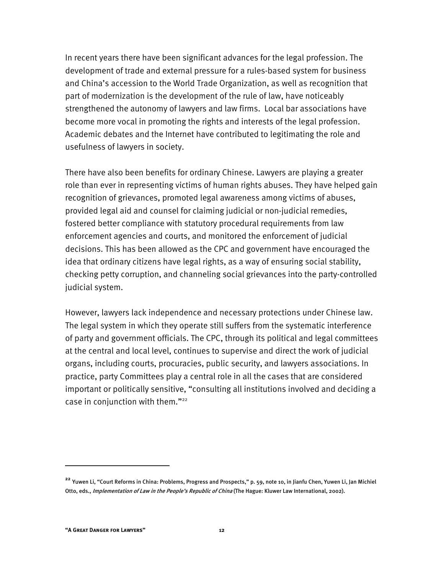In recent years there have been significant advances for the legal profession. The development of trade and external pressure for a rules-based system for business and China's accession to the World Trade Organization, as well as recognition that part of modernization is the development of the rule of law, have noticeably strengthened the autonomy of lawyers and law firms. Local bar associations have become more vocal in promoting the rights and interests of the legal profession. Academic debates and the Internet have contributed to legitimating the role and usefulness of lawyers in society.

There have also been benefits for ordinary Chinese. Lawyers are playing a greater role than ever in representing victims of human rights abuses. They have helped gain recognition of grievances, promoted legal awareness among victims of abuses, provided legal aid and counsel for claiming judicial or non-judicial remedies, fostered better compliance with statutory procedural requirements from law enforcement agencies and courts, and monitored the enforcement of judicial decisions. This has been allowed as the CPC and government have encouraged the idea that ordinary citizens have legal rights, as a way of ensuring social stability, checking petty corruption, and channeling social grievances into the party-controlled judicial system.

However, lawyers lack independence and necessary protections under Chinese law. The legal system in which they operate still suffers from the systematic interference of party and government officials. The CPC, through its political and legal committees at the central and local level, continues to supervise and direct the work of judicial organs, including courts, procuracies, public security, and lawyers associations. In practice, party Committees play a central role in all the cases that are considered important or politically sensitive, "consulting all institutions involved and deciding a case in conjunction with them."<sup>22</sup>

**<sup>22</sup>** Yuwen Li, "Court Reforms in China: Problems, Progress and Prospects," p. 59, note 10, in Jianfu Chen, Yuwen Li, Jan Michiel Otto, eds., Implementation of Law in the People's Republic of China (The Hague: Kluwer Law International, 2002).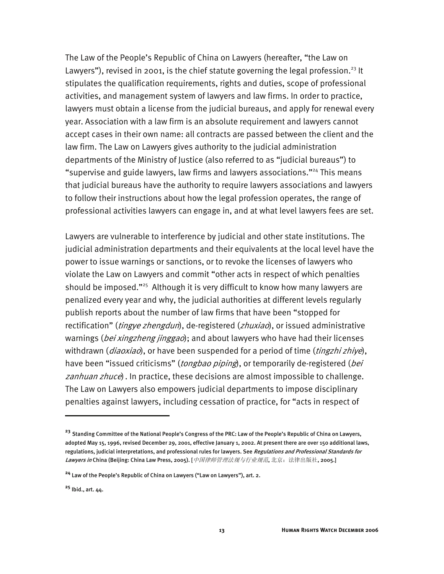The Law of the People's Republic of China on Lawyers (hereafter, "the Law on Lawyers"), revised in 2001, is the chief statute governing the legal profession.<sup>23</sup> It stipulates the qualification requirements, rights and duties, scope of professional activities, and management system of lawyers and law firms. In order to practice, lawyers must obtain a license from the judicial bureaus, and apply for renewal every year. Association with a law firm is an absolute requirement and lawyers cannot accept cases in their own name: all contracts are passed between the client and the law firm. The Law on Lawyers gives authority to the judicial administration departments of the Ministry of Justice (also referred to as "judicial bureaus") to "supervise and guide lawyers, law firms and lawyers associations."24 This means that judicial bureaus have the authority to require lawyers associations and lawyers to follow their instructions about how the legal profession operates, the range of professional activities lawyers can engage in, and at what level lawyers fees are set.

Lawyers are vulnerable to interference by judicial and other state institutions. The judicial administration departments and their equivalents at the local level have the power to issue warnings or sanctions, or to revoke the licenses of lawyers who violate the Law on Lawyers and commit "other acts in respect of which penalties should be imposed."<sup>25</sup> Although it is very difficult to know how many lawyers are penalized every year and why, the judicial authorities at different levels regularly publish reports about the number of law firms that have been "stopped for rectification" (*tingye zhengdun*), de-registered (*zhuxiao*), or issued administrative warnings (*bei xingzheng jinggao*); and about lawyers who have had their licenses withdrawn (*diaoxiao*), or have been suspended for a period of time (*tingzhi zhiye*), have been "issued criticisms" (tongbao piping), or temporarily de-registered (bei zanhuan zhuce). In practice, these decisions are almost impossible to challenge. The Law on Lawyers also empowers judicial departments to impose disciplinary penalties against lawyers, including cessation of practice, for "acts in respect of

**<sup>23</sup>** Standing Committee of the National People's Congress of the PRC: Law of the People's Republic of China on Lawyers, adopted May 15, 1996, revised December 29, 2001, effective January 1, 2002. At present there are over 150 additional laws, regulations, judicial interpretations, and professional rules for lawyers. See Regulations and Professional Standards for Lawyers in China (Beijing: China Law Press, 2005). [*中国律师管理法规与行业规范*, 北京: 法律出版社, 2005.]

**<sup>24</sup>** Law of the People's Republic of China on Lawyers ("Law on Lawyers"), art. 2.

**<sup>25</sup>** Ibid., art. 44.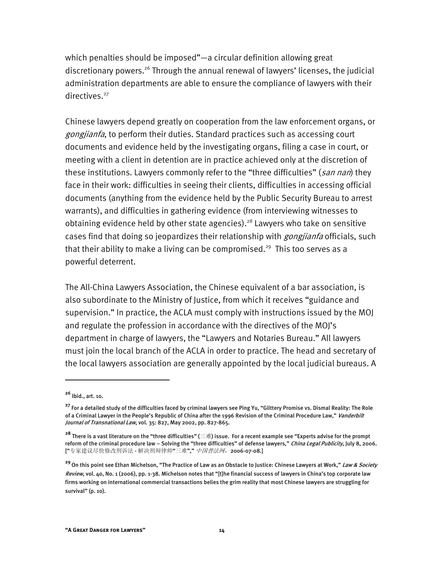which penalties should be imposed"—a circular definition allowing great discretionary powers.26 Through the annual renewal of lawyers' licenses, the judicial administration departments are able to ensure the compliance of lawyers with their directives.<sup>27</sup>

Chinese lawyers depend greatly on cooperation from the law enforcement organs, or gongjianfa, to perform their duties. Standard practices such as accessing court documents and evidence held by the investigating organs, filing a case in court, or meeting with a client in detention are in practice achieved only at the discretion of these institutions. Lawyers commonly refer to the "three difficulties" (san nan) they face in their work: difficulties in seeing their clients, difficulties in accessing official documents (anything from the evidence held by the Public Security Bureau to arrest warrants), and difficulties in gathering evidence (from interviewing witnesses to obtaining evidence held by other state agencies).<sup>28</sup> Lawyers who take on sensitive cases find that doing so jeopardizes their relationship with *gongjianfa* officials, such that their ability to make a living can be compromised.<sup>29</sup> This too serves as a powerful deterrent.

The All-China Lawyers Association, the Chinese equivalent of a bar association, is also subordinate to the Ministry of Justice, from which it receives "guidance and supervision." In practice, the ACLA must comply with instructions issued by the MOJ and regulate the profession in accordance with the directives of the MOJ's department in charge of lawyers, the "Lawyers and Notaries Bureau." All lawyers must join the local branch of the ACLA in order to practice. The head and secretary of the local lawyers association are generally appointed by the local judicial bureaus. A

**<sup>26</sup>** Ibid., art. 10.

**<sup>27</sup>** For a detailed study of the difficulties faced by criminal lawyers see Ping Yu, "Glittery Promise vs. Dismal Reality: The Role of a Criminal Lawyer in the People's Republic of China after the 1996 Revision of the Criminal Procedure Law," Vanderbilt Journal of Transnational Law, vol. 35: 827, May 2002, pp. 827-865.

**<sup>28</sup>** There is a vast literature on the "three difficulties" (三难) issue. For a recent example see "Experts advise for the prompt reform of the criminal procedure law – Solving the "three difficulties" of defense lawyers," China Legal Publicity, July 8, 2006. ["专家建议尽快修改刑诉法 - 解决刑辩律师"三难"," 中国普法网, 2006-07-08.]

**<sup>29</sup>**On this point see Ethan Michelson, "The Practice of Law as an Obstacle to Justice: Chinese Lawyers at Work," Law & Society Review, vol. 40, No. 1 (2006), pp. 1-38. Michelson notes that "[t]he financial success of lawyers in China's top corporate law firms working on international commercial transactions belies the grim reality that most Chinese lawyers are struggling for survival" (p. 10).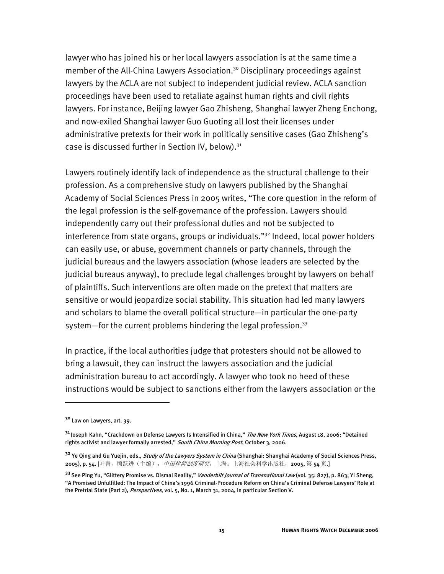lawyer who has joined his or her local lawyers association is at the same time a member of the All-China Lawyers Association.<sup>30</sup> Disciplinary proceedings against lawyers by the ACLA are not subject to independent judicial review. ACLA sanction proceedings have been used to retaliate against human rights and civil rights lawyers. For instance, Beijing lawyer Gao Zhisheng, Shanghai lawyer Zheng Enchong, and now-exiled Shanghai lawyer Guo Guoting all lost their licenses under administrative pretexts for their work in politically sensitive cases (Gao Zhisheng's case is discussed further in Section IV, below). $31$ 

Lawyers routinely identify lack of independence as the structural challenge to their profession. As a comprehensive study on lawyers published by the Shanghai Academy of Social Sciences Press in 2005 writes, "The core question in the reform of the legal profession is the self-governance of the profession. Lawyers should independently carry out their professional duties and not be subjected to interference from state organs, groups or individuals."32 Indeed, local power holders can easily use, or abuse, government channels or party channels, through the judicial bureaus and the lawyers association (whose leaders are selected by the judicial bureaus anyway), to preclude legal challenges brought by lawyers on behalf of plaintiffs. Such interventions are often made on the pretext that matters are sensitive or would jeopardize social stability. This situation had led many lawyers and scholars to blame the overall political structure—in particular the one-party system—for the current problems hindering the legal profession.<sup>33</sup>

In practice, if the local authorities judge that protesters should not be allowed to bring a lawsuit, they can instruct the lawyers association and the judicial administration bureau to act accordingly. A lawyer who took no heed of these instructions would be subject to sanctions either from the lawyers association or the

**<sup>30</sup>** Law on Lawyers, art. 39.

**<sup>31</sup>**Joseph Kahn, "Crackdown on Defense Lawyers Is Intensified in China," The New York Times, August 18, 2006; "Detained rights activist and lawyer formally arrested," *South China Morning Post*, October 3, 2006.

<sup>&</sup>lt;sup>32</sup> Ye Qing and Gu Yuejin, eds., *Study of the Lawyers System in China* (Shanghai: Shanghai Academy of Social Sciences Press, 2005), p. 54. [叶青, 顾跃进(主编), *中国律师制度研究*, 上海: 上海社会科学出版社, 2005, 第 54 页.]

**<sup>33</sup>**See Ping Yu, "Glittery Promise vs. Dismal Reality," Vanderbilt Journal of Transnational Law (vol. 35: 827), p. 863; Yi Sheng, "A Promised Unfulfilled: The Impact of China's 1996 Criminal-Procedure Reform on China's Criminal Defense Lawyers' Role at the Pretrial State (Part 2), *Perspectives*, vol. 5, No. 1, March 31, 2004, in particular Section V.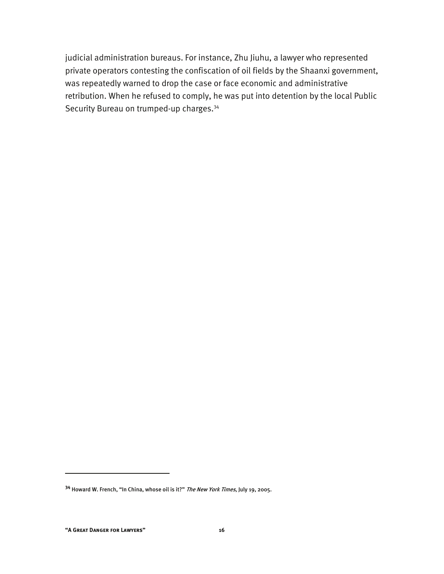judicial administration bureaus. For instance, Zhu Jiuhu, a lawyer who represented private operators contesting the confiscation of oil fields by the Shaanxi government, was repeatedly warned to drop the case or face economic and administrative retribution. When he refused to comply, he was put into detention by the local Public Security Bureau on trumped-up charges.<sup>34</sup>

**<sup>34</sup>** Howard W. French, "In China, whose oil is it?" The New York Times, July 19, 2005.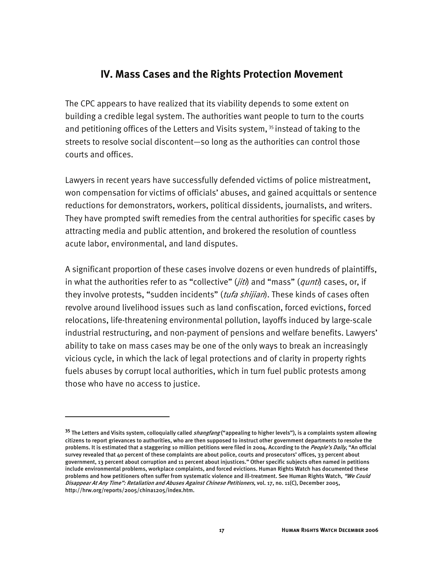#### **IV. Mass Cases and the Rights Protection Movement**

The CPC appears to have realized that its viability depends to some extent on building a credible legal system. The authorities want people to turn to the courts and petitioning offices of the Letters and Visits system,<sup>35</sup> instead of taking to the streets to resolve social discontent—so long as the authorities can control those courts and offices.

Lawyers in recent years have successfully defended victims of police mistreatment, won compensation for victims of officials' abuses, and gained acquittals or sentence reductions for demonstrators, workers, political dissidents, journalists, and writers. They have prompted swift remedies from the central authorities for specific cases by attracting media and public attention, and brokered the resolution of countless acute labor, environmental, and land disputes.

A significant proportion of these cases involve dozens or even hundreds of plaintiffs, in what the authorities refer to as "collective" (jiti) and "mass" (qunti) cases, or, if they involve protests, "sudden incidents" (tufa shijian). These kinds of cases often revolve around livelihood issues such as land confiscation, forced evictions, forced relocations, life-threatening environmental pollution, layoffs induced by large-scale industrial restructuring, and non-payment of pensions and welfare benefits. Lawyers' ability to take on mass cases may be one of the only ways to break an increasingly vicious cycle, in which the lack of legal protections and of clarity in property rights fuels abuses by corrupt local authorities, which in turn fuel public protests among those who have no access to justice.

<sup>&</sup>lt;sup>35</sup> The Letters and Visits system, colloquially called *shangfang* ("appealing to higher levels"), is a complaints system allowing citizens to report grievances to authorities, who are then supposed to instruct other government departments to resolve the problems. It is estimated that a staggering 10 million petitions were filed in 2004. According to the People's Daily, "An official survey revealed that 40 percent of these complaints are about police, courts and prosecutors' offices, 33 percent about government, 13 percent about corruption and 11 percent about injustices." Other specific subjects often named in petitions include environmental problems, workplace complaints, and forced evictions. Human Rights Watch has documented these problems and how petitioners often suffer from systematic violence and ill-treatment. See Human Rights Watch, *"We Could* Disappear At Any Time": Retaliation and Abuses Against Chinese Petitioners, vol. 17, no. 11(C), December 2005, http://hrw.org/reports/2005/china1205/index.htm.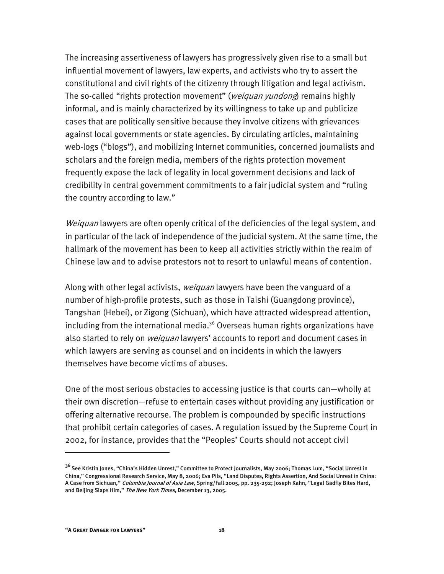The increasing assertiveness of lawyers has progressively given rise to a small but influential movement of lawyers, law experts, and activists who try to assert the constitutional and civil rights of the citizenry through litigation and legal activism. The so-called "rights protection movement" (*weiquan yundong*) remains highly informal, and is mainly characterized by its willingness to take up and publicize cases that are politically sensitive because they involve citizens with grievances against local governments or state agencies. By circulating articles, maintaining web-logs ("blogs"), and mobilizing Internet communities, concerned journalists and scholars and the foreign media, members of the rights protection movement frequently expose the lack of legality in local government decisions and lack of credibility in central government commitments to a fair judicial system and "ruling the country according to law."

Weiquan lawyers are often openly critical of the deficiencies of the legal system, and in particular of the lack of independence of the judicial system. At the same time, the hallmark of the movement has been to keep all activities strictly within the realm of Chinese law and to advise protestors not to resort to unlawful means of contention.

Along with other legal activists, *weiquan* lawyers have been the vanguard of a number of high-profile protests, such as those in Taishi (Guangdong province), Tangshan (Hebei), or Zigong (Sichuan), which have attracted widespread attention, including from the international media. $36$  Overseas human rights organizations have also started to rely on *weiquan* lawyers' accounts to report and document cases in which lawyers are serving as counsel and on incidents in which the lawyers themselves have become victims of abuses.

One of the most serious obstacles to accessing justice is that courts can—wholly at their own discretion—refuse to entertain cases without providing any justification or offering alternative recourse. The problem is compounded by specific instructions that prohibit certain categories of cases. A regulation issued by the Supreme Court in 2002, for instance, provides that the "Peoples' Courts should not accept civil

**<sup>36</sup>**See Kristin Jones, "China's Hidden Unrest," Committee to Protect Journalists, May 2006; Thomas Lum, "Social Unrest in China," Congressional Research Service, May 8, 2006; Eva Pils, "Land Disputes, Rights Assertion, And Social Unrest in China: A Case from Sichuan," *Columbia Journal of Asia Law*, Spring/Fall 2005, pp. 235-292; Joseph Kahn, "Legal Gadfly Bites Hard, and Beijing Slaps Him," The New York Times, December 13, 2005.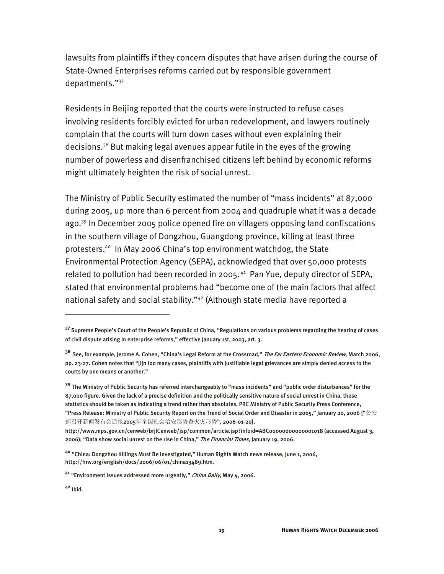lawsuits from plaintiffs if they concern disputes that have arisen during the course of State-Owned Enterprises reforms carried out by responsible government departments."37

Residents in Beijing reported that the courts were instructed to refuse cases involving residents forcibly evicted for urban redevelopment, and lawyers routinely complain that the courts will turn down cases without even explaining their decisions.<sup>38</sup> But making legal avenues appear futile in the eyes of the growing number of powerless and disenfranchised citizens left behind by economic reforms might ultimately heighten the risk of social unrest.

The Ministry of Public Security estimated the number of "mass incidents" at 87,000 during 2005, up more than 6 percent from 2004 and quadruple what it was a decade ago.39 In December 2005 police opened fire on villagers opposing land confiscations in the southern village of Dongzhou, Guangdong province, killing at least three protesters.40 In May 2006 China's top environment watchdog, the State Environmental Protection Agency (SEPA), acknowledged that over 50,000 protests related to pollution had been recorded in 2005.<sup>41</sup> Pan Yue, deputy director of SEPA, stated that environmental problems had "become one of the main factors that affect national safety and social stability."<sup>42</sup> (Although state media have reported a

-

**<sup>37</sup>**Supreme People's Court of the People's Republic of China, "Regulations on various problems regarding the hearing of cases of civil dispute arising in enterprise reforms," effective January 1st, 2003, art. 3.

<sup>&</sup>lt;sup>38</sup> See, for example, Jerome A. Cohen, "China's Legal Reform at the Crossroad," *The Far Eastern Economic Review*, March 2006, pp. 23-27. Cohen notes that "[i]n too many cases, plaintiffs with justifiable legal grievances are simply denied access to the courts by one means or another."

**<sup>39</sup>** The Ministry of Public Security has referred interchangeably to "mass incidents" and "public order disturbances" for the 87,000 figure. Given the lack of a precise definition and the politically sensitive nature of social unrest in China, these statistics should be taken as indicating a trend rather than absolutes. PRC Ministry of Public Security Press Conference, "Press Release: Ministry of Public Security Report on the Trend of Social Order and Disaster in 2005," January 20, 2006 ["公安 部召开新闻发布会通报2005年全国社会治安形势暨火灾形势", 2006-01-20],

http://www.mps.gov.cn/cenweb/brjlCenweb/jsp/common/article.jsp?infoid=ABC00000000000001018 (accessed August 3, 2006); "Data show social unrest on the rise in China," *The Financial Times*, January 19, 2006.

**<sup>40</sup>** "China: Dongzhou Killings Must Be Investigated," Human Rights Watch news release, June 1, 2006, http://hrw.org/english/docs/2006/06/01/china13489.htm.

**<sup>41</sup>** "Environment issues addressed more urgently," China Daily, May 4, 2006.

**<sup>42</sup>** Ibid.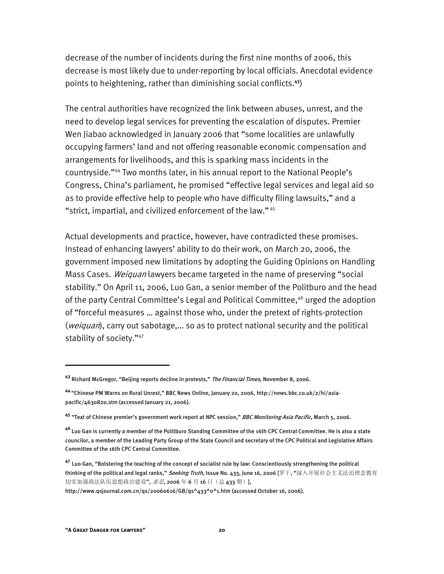decrease of the number of incidents during the first nine months of 2006, this decrease is most likely due to under-reporting by local officials. Anecdotal evidence points to heightening, rather than diminishing social conflicts.**<sup>43</sup>**)

The central authorities have recognized the link between abuses, unrest, and the need to develop legal services for preventing the escalation of disputes. Premier Wen Jiabao acknowledged in January 2006 that "some localities are unlawfully occupying farmers' land and not offering reasonable economic compensation and arrangements for livelihoods, and this is sparking mass incidents in the countryside."44 Two months later, in his annual report to the National People's Congress, China's parliament, he promised "effective legal services and legal aid so as to provide effective help to people who have difficulty filing lawsuits," and a "strict, impartial, and civilized enforcement of the law." 45

Actual developments and practice, however, have contradicted these promises. Instead of enhancing lawyers' ability to do their work, on March 20, 2006, the government imposed new limitations by adopting the Guiding Opinions on Handling Mass Cases. Weiguan lawyers became targeted in the name of preserving "social stability." On April 11, 2006, Luo Gan, a senior member of the Politburo and the head of the party Central Committee's Legal and Political Committee,<sup>46</sup> urged the adoption of "forceful measures … against those who, under the pretext of rights-protection (weiquan), carry out sabotage,... so as to protect national security and the political stability of society."47

**<sup>43</sup>** Richard McGregor, "Beijing reports decline in protests," The Financial Times, November 8, 2006.

**<sup>44</sup>**"Chinese PM Warns on Rural Unrest," BBC News Online, January 20, 2006, http://news.bbc.co.uk/2/hi/asiapacific/4630820.stm (accessed January 21, 2006).

**<sup>45</sup>** "Text of Chinese premier's government work report at NPC session," BBC Monitoring Asia Pacific, March 5, 2006.

**<sup>46</sup>** Luo Gan is currently a member of the Politburo Standing Committee of the 16th CPC Central Committee. He is also a state councilor, a member of the Leading Party Group of the State Council and secretary of the CPC Political and Legislative Affairs Committee of the 16th CPC Central Committee.

**<sup>47</sup>** Luo Gan, "Bolstering the teaching of the concept of socialist rule by law: Conscientiously strengthening the political thinking of the political and legal ranks," *Seeking Truth*, Issue No. 433, June 16, 2006 [罗干, "深入开展社会主义法治理念教育 切实加强政法队伍思想政治建设", 求是, 2006年6月16日(总 433 期)],

http://www.qsjournal.com.cn/qs/20060616/GB/qs^433^0^1.htm (accessed October 16, 2006).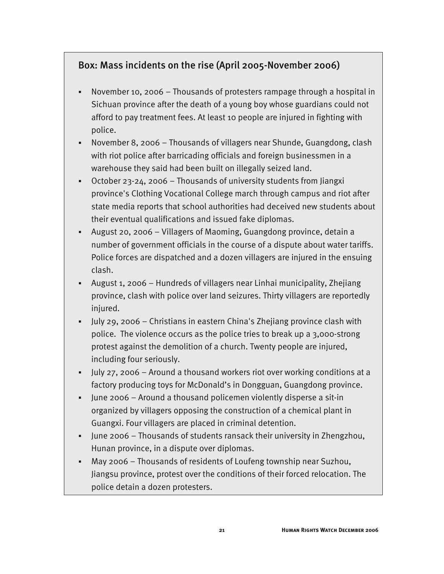### Box: Mass incidents on the rise (April 2005-November 2006)

- November 10, 2006 Thousands of protesters rampage through a hospital in Sichuan province after the death of a young boy whose guardians could not afford to pay treatment fees. At least 10 people are injured in fighting with police.
- November 8, 2006 Thousands of villagers near Shunde, Guangdong, clash with riot police after barricading officials and foreign businessmen in a warehouse they said had been built on illegally seized land.
- October 23-24, 2006 Thousands of university students from Jiangxi province's Clothing Vocational College march through campus and riot after state media reports that school authorities had deceived new students about their eventual qualifications and issued fake diplomas.
- August 20, 2006 Villagers of Maoming, Guangdong province, detain a number of government officials in the course of a dispute about water tariffs. Police forces are dispatched and a dozen villagers are injured in the ensuing clash.
- August 1, 2006 Hundreds of villagers near Linhai municipality, Zhejiang province, clash with police over land seizures. Thirty villagers are reportedly injured.
- July 29, 2006 Christians in eastern China's Zhejiang province clash with police. The violence occurs as the police tries to break up a 3,000-strong protest against the demolition of a church. Twenty people are injured, including four seriously.
- July 27, 2006 Around a thousand workers riot over working conditions at a factory producing toys for McDonald's in Dongguan, Guangdong province.
- June 2006 Around a thousand policemen violently disperse a sit-in organized by villagers opposing the construction of a chemical plant in Guangxi. Four villagers are placed in criminal detention.
- June 2006 Thousands of students ransack their university in Zhengzhou, Hunan province, in a dispute over diplomas.
- May 2006 Thousands of residents of Loufeng township near Suzhou, Jiangsu province, protest over the conditions of their forced relocation. The police detain a dozen protesters.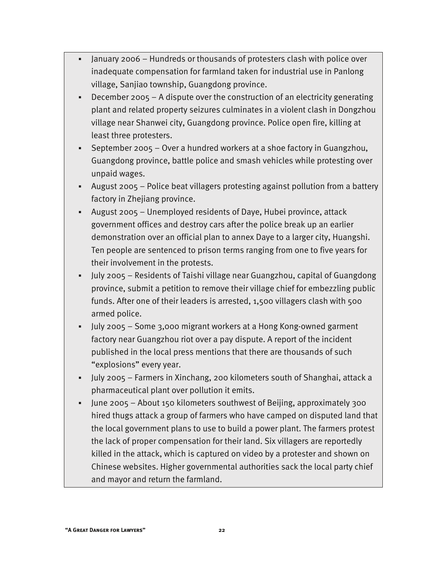- January 2006 Hundreds or thousands of protesters clash with police over inadequate compensation for farmland taken for industrial use in Panlong village, Sanjiao township, Guangdong province.
- December 2005 A dispute over the construction of an electricity generating plant and related property seizures culminates in a violent clash in Dongzhou village near Shanwei city, Guangdong province. Police open fire, killing at least three protesters.
- September 2005 Over a hundred workers at a shoe factory in Guangzhou, Guangdong province, battle police and smash vehicles while protesting over unpaid wages.
- August 2005 Police beat villagers protesting against pollution from a battery factory in Zhejiang province.
- August 2005 Unemployed residents of Daye, Hubei province, attack government offices and destroy cars after the police break up an earlier demonstration over an official plan to annex Daye to a larger city, Huangshi. Ten people are sentenced to prison terms ranging from one to five years for their involvement in the protests.
- July 2005 Residents of Taishi village near Guangzhou, capital of Guangdong province, submit a petition to remove their village chief for embezzling public funds. After one of their leaders is arrested, 1,500 villagers clash with 500 armed police.
- July 2005 Some 3,000 migrant workers at a Hong Kong-owned garment factory near Guangzhou riot over a pay dispute. A report of the incident published in the local press mentions that there are thousands of such "explosions" every year.
- July 2005 Farmers in Xinchang, 200 kilometers south of Shanghai, attack a pharmaceutical plant over pollution it emits.
- June 2005 About 150 kilometers southwest of Beijing, approximately 300 hired thugs attack a group of farmers who have camped on disputed land that the local government plans to use to build a power plant. The farmers protest the lack of proper compensation for their land. Six villagers are reportedly killed in the attack, which is captured on video by a protester and shown on Chinese websites. Higher governmental authorities sack the local party chief and mayor and return the farmland.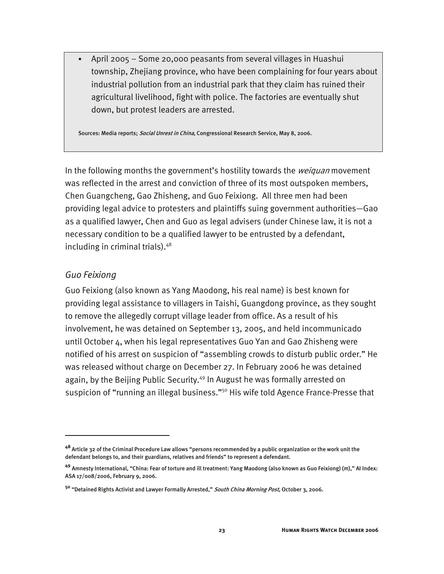April 2005 – Some 20,000 peasants from several villages in Huashui township, Zhejiang province, who have been complaining for four years about industrial pollution from an industrial park that they claim has ruined their agricultural livelihood, fight with police. The factories are eventually shut down, but protest leaders are arrested.

Sources: Media reports; Social Unrest in China, Congressional Research Service, May 8, 2006.

In the following months the government's hostility towards the *weiquan* movement was reflected in the arrest and conviction of three of its most outspoken members, Chen Guangcheng, Gao Zhisheng, and Guo Feixiong. All three men had been providing legal advice to protesters and plaintiffs suing government authorities—Gao as a qualified lawyer, Chen and Guo as legal advisers (under Chinese law, it is not a necessary condition to be a qualified lawyer to be entrusted by a defendant, including in criminal trials).48

#### *Guo Feixiong*

I

Guo Feixiong (also known as Yang Maodong, his real name) is best known for providing legal assistance to villagers in Taishi, Guangdong province, as they sought to remove the allegedly corrupt village leader from office. As a result of his involvement, he was detained on September 13, 2005, and held incommunicado until October 4, when his legal representatives Guo Yan and Gao Zhisheng were notified of his arrest on suspicion of "assembling crowds to disturb public order." He was released without charge on December 27. In February 2006 he was detained again, by the Beijing Public Security.<sup>49</sup> In August he was formally arrested on suspicion of "running an illegal business."<sup>50</sup> His wife told Agence France-Presse that

**<sup>48</sup>** Article 32 of the Criminal Procedure Law allows "persons recommended by a public organization or the work unit the defendant belongs to, and their guardians, relatives and friends" to represent a defendant.

**<sup>49</sup>** Amnesty International, "China: Fear of torture and ill treatment: Yang Maodong (also known as Guo Feixiong) (m)," AI Index: ASA 17/008/2006, February 9, 2006.

**<sup>50</sup>** "Detained Rights Activist and Lawyer Formally Arrested," South China Morning Post, October 3, 2006.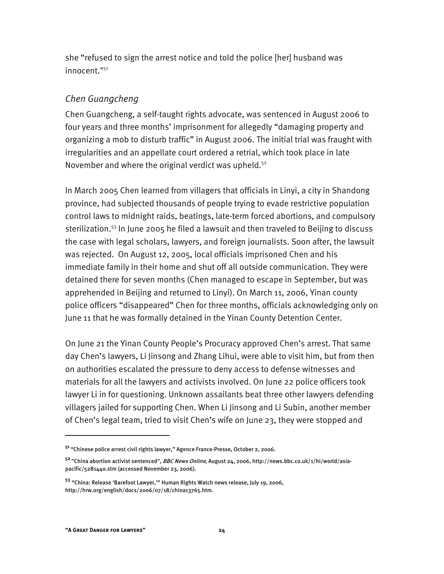she "refused to sign the arrest notice and told the police [her] husband was innocent."51

#### *Chen Guangcheng*

Chen Guangcheng, a self-taught rights advocate, was sentenced in August 2006 to four years and three months' imprisonment for allegedly "damaging property and organizing a mob to disturb traffic" in August 2006. The initial trial was fraught with irregularities and an appellate court ordered a retrial, which took place in late November and where the original verdict was upheld.<sup>52</sup>

In March 2005 Chen learned from villagers that officials in Linyi, a city in Shandong province, had subjected thousands of people trying to evade restrictive population control laws to midnight raids, beatings, late-term forced abortions, and compulsory sterilization.<sup>53</sup> In June 2005 he filed a lawsuit and then traveled to Beijing to discuss the case with legal scholars, lawyers, and foreign journalists. Soon after, the lawsuit was rejected. On August 12, 2005, local officials imprisoned Chen and his immediate family in their home and shut off all outside communication. They were detained there for seven months (Chen managed to escape in September, but was apprehended in Beijing and returned to Linyi). On March 11, 2006, Yinan county police officers "disappeared" Chen for three months, officials acknowledging only on June 11 that he was formally detained in the Yinan County Detention Center.

On June 21 the Yinan County People's Procuracy approved Chen's arrest. That same day Chen's lawyers, Li Jinsong and Zhang Lihui, were able to visit him, but from then on authorities escalated the pressure to deny access to defense witnesses and materials for all the lawyers and activists involved. On June 22 police officers took lawyer Li in for questioning. Unknown assailants beat three other lawyers defending villagers jailed for supporting Chen. When Li Jinsong and Li Subin, another member of Chen's legal team, tried to visit Chen's wife on June 23, they were stopped and

**<sup>51</sup>**"Chinese police arrest civil rights lawyer," Agence France-Presse, October 2, 2006.

**<sup>52</sup>** "China abortion activist sentenced", BBC News Online, August 24, 2006, http://news.bbc.co.uk/1/hi/world/asiapacific/5281440.stm (accessed November 23, 2006).

**<sup>53</sup>** "China: Release 'Barefoot Lawyer,'" Human Rights Watch news release, July 19, 2006, http://hrw.org/english/docs/2006/07/18/china13765.htm.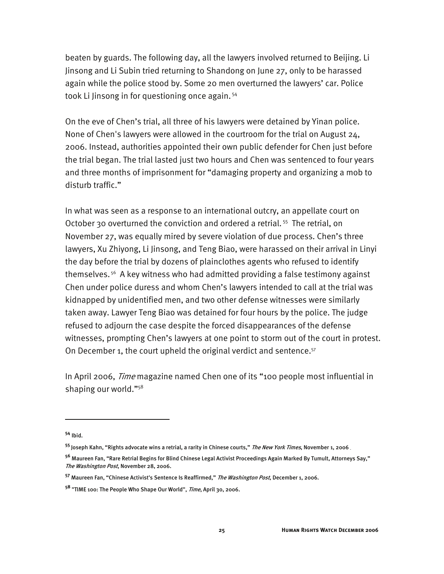beaten by guards. The following day, all the lawyers involved returned to Beijing. Li Jinsong and Li Subin tried returning to Shandong on June 27, only to be harassed again while the police stood by. Some 20 men overturned the lawyers' car. Police took Li Jinsong in for questioning once again.<sup>54</sup>

On the eve of Chen's trial, all three of his lawyers were detained by Yinan police. None of Chen's lawyers were allowed in the courtroom for the trial on August 24, 2006. Instead, authorities appointed their own public defender for Chen just before the trial began. The trial lasted just two hours and Chen was sentenced to four years and three months of imprisonment for "damaging property and organizing a mob to disturb traffic."

In what was seen as a response to an international outcry, an appellate court on October 30 overturned the conviction and ordered a retrial.<sup>55</sup> The retrial, on November 27, was equally mired by severe violation of due process. Chen's three lawyers, Xu Zhiyong, Li Jinsong, and Teng Biao, were harassed on their arrival in Linyi the day before the trial by dozens of plainclothes agents who refused to identify themselves. 56 A key witness who had admitted providing a false testimony against Chen under police duress and whom Chen's lawyers intended to call at the trial was kidnapped by unidentified men, and two other defense witnesses were similarly taken away. Lawyer Teng Biao was detained for four hours by the police. The judge refused to adjourn the case despite the forced disappearances of the defense witnesses, prompting Chen's lawyers at one point to storm out of the court in protest. On December 1, the court upheld the original verdict and sentence.<sup>57</sup>

In April 2006, Time magazine named Chen one of its "100 people most influential in shaping our world."58

**<sup>54</sup>** Ibid.

<sup>&</sup>lt;sup>55</sup> Joseph Kahn, "Rights advocate wins a retrial, a rarity in Chinese courts," *The New York Times*, November 1, 2006 .

**<sup>56</sup>** Maureen Fan, "Rare Retrial Begins for Blind Chinese Legal Activist Proceedings Again Marked By Tumult, Attorneys Say," The Washington Post, November 28, 2006.

**<sup>57</sup>** Maureen Fan, "Chinese Activist's Sentence Is Reaffirmed," The Washington Post, December 1, 2006.

**<sup>58</sup>** "TIME 100: The People Who Shape Our World", Time, April 30, 2006.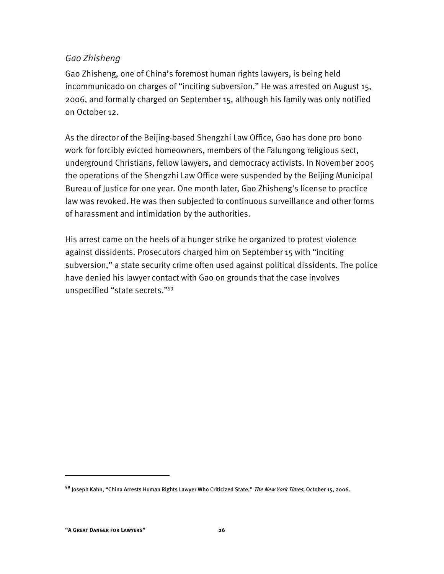#### *Gao Zhisheng*

Gao Zhisheng, one of China's foremost human rights lawyers, is being held incommunicado on charges of "inciting subversion." He was arrested on August 15, 2006, and formally charged on September 15, although his family was only notified on October 12.

As the director of the Beijing-based Shengzhi Law Office, Gao has done pro bono work for forcibly evicted homeowners, members of the Falungong religious sect, underground Christians, fellow lawyers, and democracy activists. In November 2005 the operations of the Shengzhi Law Office were suspended by the Beijing Municipal Bureau of Justice for one year. One month later, Gao Zhisheng's license to practice law was revoked. He was then subjected to continuous surveillance and other forms of harassment and intimidation by the authorities.

His arrest came on the heels of a hunger strike he organized to protest violence against dissidents. Prosecutors charged him on September 15 with "inciting subversion," a state security crime often used against political dissidents. The police have denied his lawyer contact with Gao on grounds that the case involves unspecified "state secrets."59

**<sup>59</sup>** Joseph Kahn, "China Arrests Human Rights Lawyer Who Criticized State," The New York Times, October 15, 2006.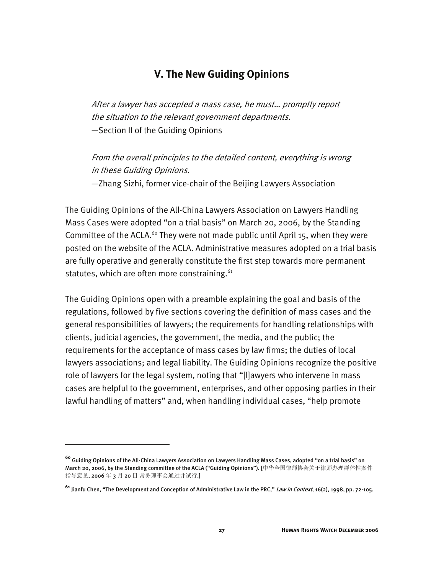#### **V. The New Guiding Opinions**

After a lawyer has accepted a mass case, he must… promptly report the situation to the relevant government departments. —Section II of the Guiding Opinions

From the overall principles to the detailed content, everything is wrong in these Guiding Opinions.

—Zhang Sizhi, former vice-chair of the Beijing Lawyers Association

The Guiding Opinions of the All-China Lawyers Association on Lawyers Handling Mass Cases were adopted "on a trial basis" on March 20, 2006, by the Standing Committee of the ACLA.<sup>60</sup> They were not made public until April 15, when they were posted on the website of the ACLA. Administrative measures adopted on a trial basis are fully operative and generally constitute the first step towards more permanent statutes, which are often more constraining.<sup>61</sup>

The Guiding Opinions open with a preamble explaining the goal and basis of the regulations, followed by five sections covering the definition of mass cases and the general responsibilities of lawyers; the requirements for handling relationships with clients, judicial agencies, the government, the media, and the public; the requirements for the acceptance of mass cases by law firms; the duties of local lawyers associations; and legal liability. The Guiding Opinions recognize the positive role of lawyers for the legal system, noting that "[l]awyers who intervene in mass cases are helpful to the government, enterprises, and other opposing parties in their lawful handling of matters" and, when handling individual cases, "help promote

-

**<sup>60</sup>** Guiding Opinions of the All-China Lawyers Association on Lawyers Handling Mass Cases, adopted "on a trial basis" on March 20, 2006, by the Standing committee of the ACLA ("Guiding Opinions"). [中华全国律师协会关于律师办理群体性案件 指导意见, 2006 年 3 月 20 日 常务理事会通过并试行.]

**<sup>61</sup>** Jianfu Chen, "The Development and Conception of Administrative Law in the PRC," Law in Context, 16(2), 1998, pp. 72-105.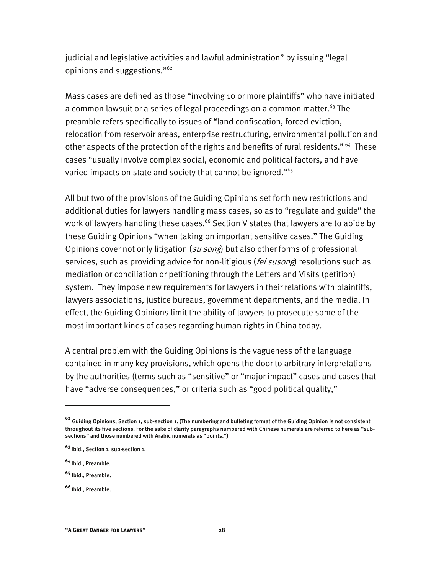judicial and legislative activities and lawful administration" by issuing "legal opinions and suggestions."62

Mass cases are defined as those "involving 10 or more plaintiffs" who have initiated a common lawsuit or a series of legal proceedings on a common matter.<sup>63</sup> The preamble refers specifically to issues of "land confiscation, forced eviction, relocation from reservoir areas, enterprise restructuring, environmental pollution and other aspects of the protection of the rights and benefits of rural residents."<sup>64</sup> These cases "usually involve complex social, economic and political factors, and have varied impacts on state and society that cannot be ignored."<sup>65</sup>

All but two of the provisions of the Guiding Opinions set forth new restrictions and additional duties for lawyers handling mass cases, so as to "regulate and guide" the work of lawyers handling these cases.<sup>66</sup> Section V states that lawyers are to abide by these Guiding Opinions "when taking on important sensitive cases." The Guiding Opinions cover not only litigation (su song) but also other forms of professional services, such as providing advice for non-litigious (fei susong) resolutions such as mediation or conciliation or petitioning through the Letters and Visits (petition) system. They impose new requirements for lawyers in their relations with plaintiffs, lawyers associations, justice bureaus, government departments, and the media. In effect, the Guiding Opinions limit the ability of lawyers to prosecute some of the most important kinds of cases regarding human rights in China today.

A central problem with the Guiding Opinions is the vagueness of the language contained in many key provisions, which opens the door to arbitrary interpretations by the authorities (terms such as "sensitive" or "major impact" cases and cases that have "adverse consequences," or criteria such as "good political quality,"

**<sup>62</sup>** Guiding Opinions, Section 1, sub-section 1. (The numbering and bulleting format of the Guiding Opinion is not consistent throughout its five sections. For the sake of clarity paragraphs numbered with Chinese numerals are referred to here as "subsections" and those numbered with Arabic numerals as "points.")

**<sup>63</sup>**Ibid., Section 1, sub-section 1.

**<sup>64</sup>**Ibid., Preamble.

**<sup>65</sup>** Ibid., Preamble.

**<sup>66</sup>**Ibid., Preamble.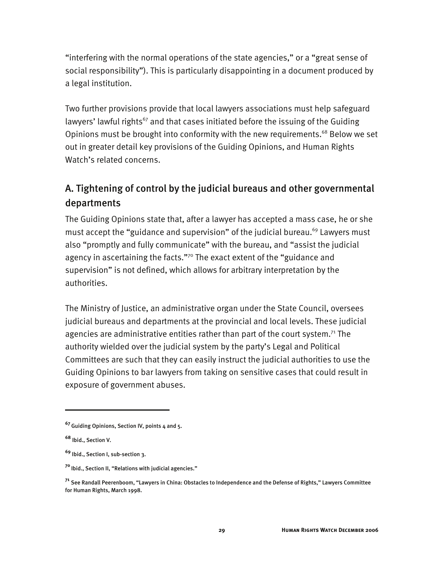"interfering with the normal operations of the state agencies," or a "great sense of social responsibility"). This is particularly disappointing in a document produced by a legal institution.

Two further provisions provide that local lawyers associations must help safeguard lawyers' lawful rights<sup>67</sup> and that cases initiated before the issuing of the Guiding Opinions must be brought into conformity with the new requirements.<sup>68</sup> Below we set out in greater detail key provisions of the Guiding Opinions, and Human Rights Watch's related concerns.

# A. Tightening of control by the judicial bureaus and other governmental departments

The Guiding Opinions state that, after a lawyer has accepted a mass case, he or she must accept the "guidance and supervision" of the judicial bureau.<sup>69</sup> Lawyers must also "promptly and fully communicate" with the bureau, and "assist the judicial agency in ascertaining the facts."<sup>70</sup> The exact extent of the "guidance and supervision" is not defined, which allows for arbitrary interpretation by the authorities.

The Ministry of Justice, an administrative organ under the State Council, oversees judicial bureaus and departments at the provincial and local levels. These judicial agencies are administrative entities rather than part of the court system.<sup>71</sup> The authority wielded over the judicial system by the party's Legal and Political Committees are such that they can easily instruct the judicial authorities to use the Guiding Opinions to bar lawyers from taking on sensitive cases that could result in exposure of government abuses.

**<sup>67</sup>**Guiding Opinions, Section IV, points 4 and 5.

**<sup>68</sup>** Ibid., Section V.

**<sup>69</sup>** Ibid., Section I, sub-section 3.

**<sup>70</sup>**Ibid., Section II, "Relations with judicial agencies."

**<sup>71</sup>** See Randall Peerenboom, "Lawyers in China: Obstacles to Independence and the Defense of Rights," Lawyers Committee for Human Rights, March 1998.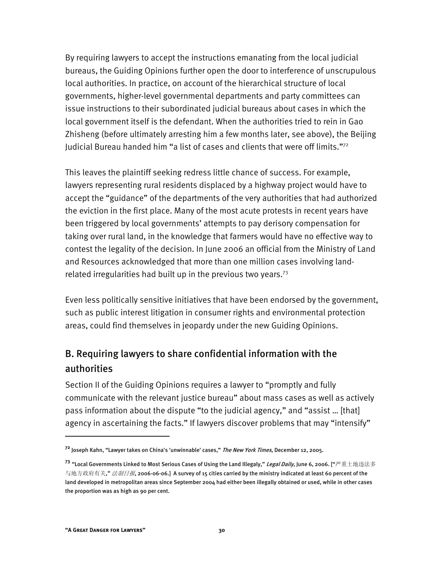By requiring lawyers to accept the instructions emanating from the local judicial bureaus, the Guiding Opinions further open the door to interference of unscrupulous local authorities. In practice, on account of the hierarchical structure of local governments, higher-level governmental departments and party committees can issue instructions to their subordinated judicial bureaus about cases in which the local government itself is the defendant. When the authorities tried to rein in Gao Zhisheng (before ultimately arresting him a few months later, see above), the Beijing Judicial Bureau handed him "a list of cases and clients that were off limits." $72$ 

This leaves the plaintiff seeking redress little chance of success. For example, lawyers representing rural residents displaced by a highway project would have to accept the "guidance" of the departments of the very authorities that had authorized the eviction in the first place. Many of the most acute protests in recent years have been triggered by local governments' attempts to pay derisory compensation for taking over rural land, in the knowledge that farmers would have no effective way to contest the legality of the decision. In June 2006 an official from the Ministry of Land and Resources acknowledged that more than one million cases involving landrelated irregularities had built up in the previous two years.<sup>73</sup>

Even less politically sensitive initiatives that have been endorsed by the government, such as public interest litigation in consumer rights and environmental protection areas, could find themselves in jeopardy under the new Guiding Opinions.

## B. Requiring lawyers to share confidential information with the authorities

Section II of the Guiding Opinions requires a lawyer to "promptly and fully communicate with the relevant justice bureau" about mass cases as well as actively pass information about the dispute "to the judicial agency," and "assist … [that] agency in ascertaining the facts." If lawyers discover problems that may "intensify"

**<sup>72</sup>** Joseph Kahn, "Lawyer takes on China's 'unwinnable' cases," The New York Times, December 12, 2005.

**<sup>73</sup>** "Local Governments Linked to Most Serious Cases of Using the Land Illegaly," Legal Daily, June 6, 2006. ["严重土地违法多 与地方政府有关," *法制日报*, 2006-06-06.] A survey of 15 cities carried by the ministry indicated at least 60 percent of the land developed in metropolitan areas since September 2004 had either been illegally obtained or used, while in other cases the proportion was as high as 90 per cent.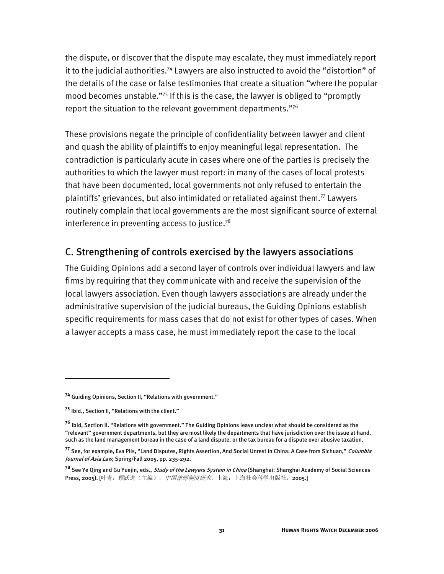the dispute, or discover that the dispute may escalate, they must immediately report it to the judicial authorities.<sup>74</sup> Lawyers are also instructed to avoid the "distortion" of the details of the case or false testimonies that create a situation "where the popular mood becomes unstable."75 If this is the case, the lawyer is obliged to "promptly report the situation to the relevant government departments." $76$ 

These provisions negate the principle of confidentiality between lawyer and client and quash the ability of plaintiffs to enjoy meaningful legal representation. The contradiction is particularly acute in cases where one of the parties is precisely the authorities to which the lawyer must report: in many of the cases of local protests that have been documented, local governments not only refused to entertain the plaintiffs' grievances, but also intimidated or retaliated against them.77 Lawyers routinely complain that local governments are the most significant source of external interference in preventing access to justice.<sup>78</sup>

#### C. Strengthening of controls exercised by the lawyers associations

The Guiding Opinions add a second layer of controls over individual lawyers and law firms by requiring that they communicate with and receive the supervision of the local lawyers association. Even though lawyers associations are already under the administrative supervision of the judicial bureaus, the Guiding Opinions establish specific requirements for mass cases that do not exist for other types of cases. When a lawyer accepts a mass case, he must immediately report the case to the local

**<sup>74</sup>** Guiding Opinions, Section II, "Relations with government."

**<sup>75</sup>** Ibid., Section II, "Relations with the client."

**<sup>76</sup>** Ibid, Section II. "Relations with government." The Guiding Opinions leave unclear what should be considered as the "relevant" government departments, but they are most likely the departments that have jurisdiction over the issue at hand, such as the land management bureau in the case of a land dispute, or the tax bureau for a dispute over abusive taxation.

**<sup>77</sup>** See, for example, Eva Pils, "Land Disputes, Rights Assertion, And Social Unrest in China: A Case from Sichuan," Columbia Journal of Asia Law, Spring/Fall 2005, pp. 235-292.

**<sup>78</sup>** See Ye Qing and Gu Yuejin, eds., Study of the Lawyers System in China (Shanghai: Shanghai Academy of Social Sciences Press, 2005). [叶青, 顾跃进(主编), *中国律师制度研究*, 上海: 上海社会科学出版社, 2005.]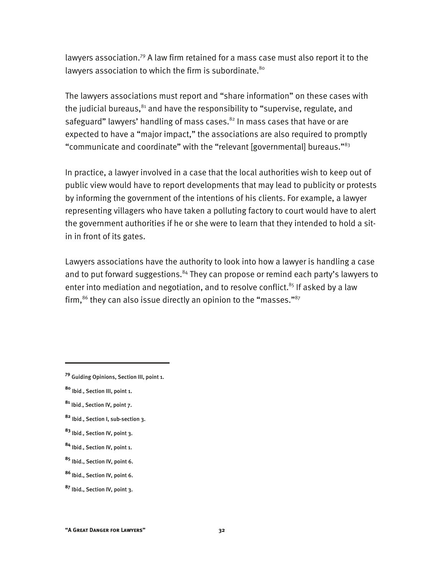lawyers association.79 A law firm retained for a mass case must also report it to the lawyers association to which the firm is subordinate.<sup>80</sup>

The lawyers associations must report and "share information" on these cases with the judicial bureaus,<sup>81</sup> and have the responsibility to "supervise, regulate, and safeguard" lawyers' handling of mass cases.<sup>82</sup> In mass cases that have or are expected to have a "major impact," the associations are also required to promptly "communicate and coordinate" with the "relevant [governmental] bureaus."83

In practice, a lawyer involved in a case that the local authorities wish to keep out of public view would have to report developments that may lead to publicity or protests by informing the government of the intentions of his clients. For example, a lawyer representing villagers who have taken a polluting factory to court would have to alert the government authorities if he or she were to learn that they intended to hold a sitin in front of its gates.

Lawyers associations have the authority to look into how a lawyer is handling a case and to put forward suggestions.<sup>84</sup> They can propose or remind each party's lawyers to enter into mediation and negotiation, and to resolve conflict.<sup>85</sup> If asked by a law firm, $^{86}$  they can also issue directly an opinion to the "masses." $^{87}$ 

- **<sup>82</sup>** Ibid., Section I, sub-section 3.
- **<sup>83</sup>** Ibid., Section IV, point 3.
- **<sup>84</sup>** Ibid., Section IV, point 1.
- **<sup>85</sup>** Ibid., Section IV, point 6.

**<sup>79</sup>** Guiding Opinions, Section III, point 1.

**<sup>80</sup>** Ibid., Section III, point 1.

**<sup>81</sup>** Ibid., Section IV, point 7.

**<sup>86</sup>**Ibid., Section IV, point 6.

**<sup>87</sup>** Ibid., Section IV, point 3.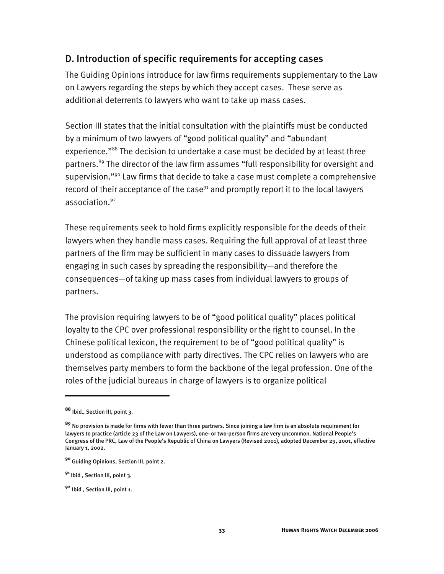#### D. Introduction of specific requirements for accepting cases

The Guiding Opinions introduce for law firms requirements supplementary to the Law on Lawyers regarding the steps by which they accept cases. These serve as additional deterrents to lawyers who want to take up mass cases.

Section III states that the initial consultation with the plaintiffs must be conducted by a minimum of two lawyers of "good political quality" and "abundant experience."<sup>88</sup> The decision to undertake a case must be decided by at least three partners.<sup>89</sup> The director of the law firm assumes "full responsibility for oversight and supervision."<sup>90</sup> Law firms that decide to take a case must complete a comprehensive record of their acceptance of the case<sup> $91$ </sup> and promptly report it to the local lawyers association.92

These requirements seek to hold firms explicitly responsible for the deeds of their lawyers when they handle mass cases. Requiring the full approval of at least three partners of the firm may be sufficient in many cases to dissuade lawyers from engaging in such cases by spreading the responsibility—and therefore the consequences—of taking up mass cases from individual lawyers to groups of partners.

The provision requiring lawyers to be of "good political quality" places political loyalty to the CPC over professional responsibility or the right to counsel. In the Chinese political lexicon, the requirement to be of "good political quality" is understood as compliance with party directives. The CPC relies on lawyers who are themselves party members to form the backbone of the legal profession. One of the roles of the judicial bureaus in charge of lawyers is to organize political

-

**<sup>88</sup>** Ibid., Section III, point 3.

**<sup>89</sup>** No provision is made for firms with fewer than three partners. Since joining a law firm is an absolute requirement for lawyers to practice (article 23 of the Law on Lawyers), one- or two-person firms are very uncommon. National People's Congress of the PRC, Law of the People's Republic of China on Lawyers (Revised 2001), adopted December 29, 2001, effective January 1, 2002.

**<sup>90</sup>** Guiding Opinions, Section III, point 2.

**<sup>91</sup>**Ibid., Section III, point 3.

**<sup>92</sup>** Ibid., Section III, point 1.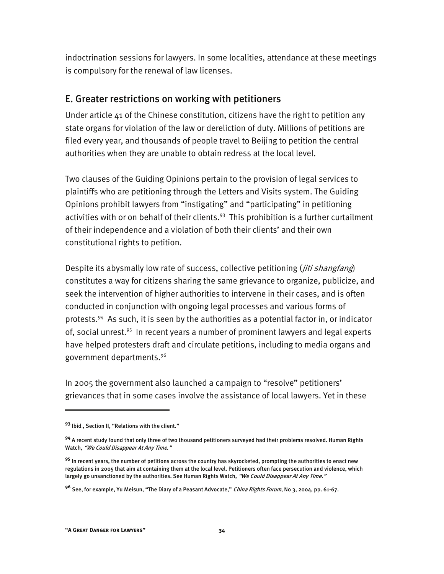indoctrination sessions for lawyers. In some localities, attendance at these meetings is compulsory for the renewal of law licenses.

## E. Greater restrictions on working with petitioners

Under article 41 of the Chinese constitution, citizens have the right to petition any state organs for violation of the law or dereliction of duty. Millions of petitions are filed every year, and thousands of people travel to Beijing to petition the central authorities when they are unable to obtain redress at the local level.

Two clauses of the Guiding Opinions pertain to the provision of legal services to plaintiffs who are petitioning through the Letters and Visits system. The Guiding Opinions prohibit lawyers from "instigating" and "participating" in petitioning activities with or on behalf of their clients. $93$  This prohibition is a further curtailment of their independence and a violation of both their clients' and their own constitutional rights to petition.

Despite its abysmally low rate of success, collective petitioning (*jiti shangfang*) constitutes a way for citizens sharing the same grievance to organize, publicize, and seek the intervention of higher authorities to intervene in their cases, and is often conducted in conjunction with ongoing legal processes and various forms of protests.94 As such, it is seen by the authorities as a potential factor in, or indicator of, social unrest.<sup>95</sup> In recent years a number of prominent lawyers and legal experts have helped protesters draft and circulate petitions, including to media organs and government departments.96

In 2005 the government also launched a campaign to "resolve" petitioners' grievances that in some cases involve the assistance of local lawyers. Yet in these

-

**<sup>93</sup>** Ibid., Section II, "Relations with the client."

**<sup>94</sup>** A recent study found that only three of two thousand petitioners surveyed had their problems resolved. Human Rights Watch, "We Could Disappear At Any Time."

**<sup>95</sup>** In recent years, the number of petitions across the country has skyrocketed, prompting the authorities to enact new regulations in 2005 that aim at containing them at the local level. Petitioners often face persecution and violence, which largely go unsanctioned by the authorities. See Human Rights Watch, "We Could Disappear At Any Time."

**<sup>96</sup>** See, for example, Yu Meisun, "The Diary of a Peasant Advocate," China Rights Forum, No 3, 2004, pp. 61-67.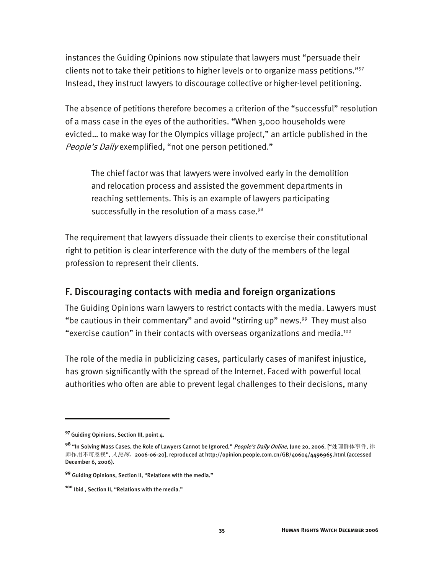instances the Guiding Opinions now stipulate that lawyers must "persuade their clients not to take their petitions to higher levels or to organize mass petitions."97 Instead, they instruct lawyers to discourage collective or higher-level petitioning.

The absence of petitions therefore becomes a criterion of the "successful" resolution of a mass case in the eyes of the authorities. "When 3,000 households were evicted… to make way for the Olympics village project," an article published in the People's Daily exemplified, "not one person petitioned."

The chief factor was that lawyers were involved early in the demolition and relocation process and assisted the government departments in reaching settlements. This is an example of lawyers participating successfully in the resolution of a mass case.<sup>98</sup>

The requirement that lawyers dissuade their clients to exercise their constitutional right to petition is clear interference with the duty of the members of the legal profession to represent their clients.

#### F. Discouraging contacts with media and foreign organizations

The Guiding Opinions warn lawyers to restrict contacts with the media. Lawyers must "be cautious in their commentary" and avoid "stirring up" news.<sup>99</sup> They must also "exercise caution" in their contacts with overseas organizations and media.100

The role of the media in publicizing cases, particularly cases of manifest injustice, has grown significantly with the spread of the Internet. Faced with powerful local authorities who often are able to prevent legal challenges to their decisions, many

-

**<sup>97</sup>**Guiding Opinions, Section III, point 4.

**<sup>98</sup>** "In Solving Mass Cases, the Role of Lawyers Cannot be Ignored," People's Daily Online, June 20, 2006. ["处理群体事件, 律 师作用不可忽视", *人民网*, 2006-06-20], reproduced at http://opinion.people.com.cn/GB/40604/4496965.html (accessed December 6, 2006).

**<sup>99</sup>** Guiding Opinions, Section II, "Relations with the media."

**<sup>100</sup>** Ibid., Section II, "Relations with the media."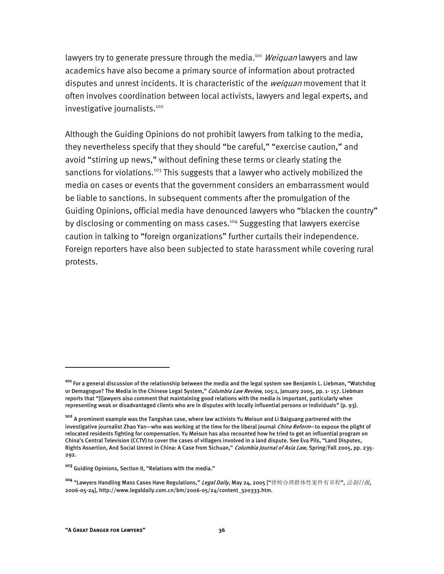lawyers try to generate pressure through the media.<sup>101</sup> Weiguan lawyers and law academics have also become a primary source of information about protracted disputes and unrest incidents. It is characteristic of the *weiquan* movement that it often involves coordination between local activists, lawyers and legal experts, and investigative journalists.<sup>102</sup>

Although the Guiding Opinions do not prohibit lawyers from talking to the media, they nevertheless specify that they should "be careful," "exercise caution," and avoid "stirring up news," without defining these terms or clearly stating the sanctions for violations.<sup>103</sup> This suggests that a lawyer who actively mobilized the media on cases or events that the government considers an embarrassment would be liable to sanctions. In subsequent comments after the promulgation of the Guiding Opinions, official media have denounced lawyers who "blacken the country" by disclosing or commenting on mass cases.<sup>104</sup> Suggesting that lawyers exercise caution in talking to "foreign organizations" further curtails their independence. Foreign reporters have also been subjected to state harassment while covering rural protests.

**<sup>101</sup>** For a general discussion of the relationship between the media and the legal system see Benjamin L. Liebman, "Watchdog or Demagogue? The Media in the Chinese Legal System," *Columbia Law Review*, 105:1, January 2005, pp. 1- 157. Liebman reports that "[l]awyers also comment that maintaining good relations with the media is important, particularly when representing weak or disadvantaged clients who are in disputes with locally influential persons or individuals" (p. 93).

**<sup>102</sup>** A prominent example was the Tangshan case, where law activists Yu Meisun and Li Baiguang partnered with the investigative journalist Zhao Yan—who was working at the time for the liberal journal China Reform—to expose the plight of relocated residents fighting for compensation. Yu Meisun has also recounted how he tried to get an influential program on China's Central Television (CCTV) to cover the cases of villagers involved in a land dispute. See Eva Pils, "Land Disputes, Rights Assertion, And Social Unrest in China: A Case from Sichuan," Columbia Journal of Asia Law, Spring/Fall 2005, pp. 235-292.

**<sup>103</sup>** Guiding Opinions, Section II, "Relations with the media."

**<sup>104</sup>** "Lawyers Handling Mass Cases Have Regulations," Legal Daily, May 24, 2005 ["律师办理群体性案件有章程", 法制日报, 2006-05-24], http://www.legaldaily.com.cn/bm/2006-05/24/content\_320333.htm.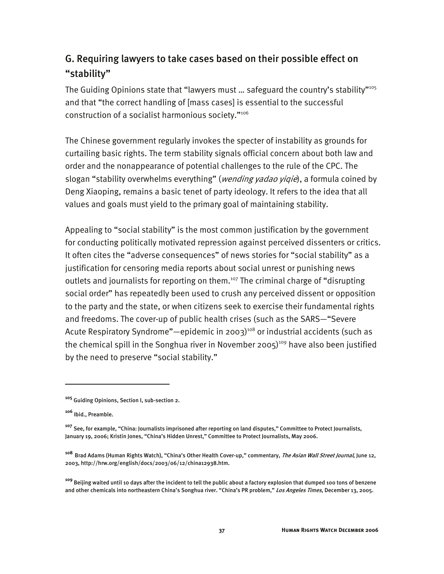## G. Requiring lawyers to take cases based on their possible effect on "stability"

The Guiding Opinions state that "lawyers must ... safeguard the country's stability"<sup>105</sup> and that "the correct handling of [mass cases] is essential to the successful construction of a socialist harmonious society."<sup>106</sup>

The Chinese government regularly invokes the specter of instability as grounds for curtailing basic rights. The term stability signals official concern about both law and order and the nonappearance of potential challenges to the rule of the CPC. The slogan "stability overwhelms everything" (wending yadao yiqie), a formula coined by Deng Xiaoping, remains a basic tenet of party ideology. It refers to the idea that all values and goals must yield to the primary goal of maintaining stability.

Appealing to "social stability" is the most common justification by the government for conducting politically motivated repression against perceived dissenters or critics. It often cites the "adverse consequences" of news stories for "social stability" as a justification for censoring media reports about social unrest or punishing news outlets and journalists for reporting on them.<sup>107</sup> The criminal charge of "disrupting social order" has repeatedly been used to crush any perceived dissent or opposition to the party and the state, or when citizens seek to exercise their fundamental rights and freedoms. The cover-up of public health crises (such as the SARS—"Severe Acute Respiratory Syndrome"—epidemic in 2003)<sup>108</sup> or industrial accidents (such as the chemical spill in the Songhua river in November 2005)<sup>109</sup> have also been justified by the need to preserve "social stability."

**<sup>105</sup>** Guiding Opinions, Section I, sub-section 2.

**<sup>106</sup>** Ibid., Preamble.

**<sup>107</sup>** See, for example, "China: Journalists imprisoned after reporting on land disputes," Committee to Protect Journalists, January 19, 2006; Kristin Jones, "China's Hidden Unrest," Committee to Protect Journalists, May 2006.

**<sup>108</sup>** Brad Adams (Human Rights Watch), "China's Other Health Cover-up," commentary, The Asian Wall Street Journal, June 12, 2003, http://hrw.org/english/docs/2003/06/12/china12938.htm.

**<sup>109</sup>** Beijing waited until 10 days after the incident to tell the public about a factory explosion that dumped 100 tons of benzene and other chemicals into northeastern China's Songhua river. "China's PR problem," *Los Angeles Times*, December 13, 2005.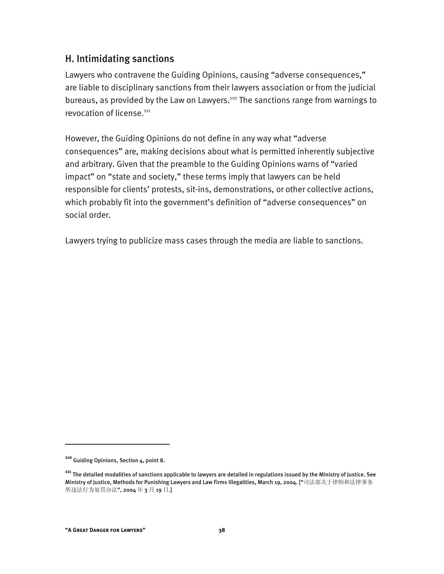## H. Intimidating sanctions

Lawyers who contravene the Guiding Opinions, causing "adverse consequences," are liable to disciplinary sanctions from their lawyers association or from the judicial bureaus, as provided by the Law on Lawyers.<sup>110</sup> The sanctions range from warnings to revocation of license.<sup>111</sup>

However, the Guiding Opinions do not define in any way what "adverse consequences" are, making decisions about what is permitted inherently subjective and arbitrary. Given that the preamble to the Guiding Opinions warns of "varied impact" on "state and society," these terms imply that lawyers can be held responsible for clients' protests, sit-ins, demonstrations, or other collective actions, which probably fit into the government's definition of "adverse consequences" on social order.

Lawyers trying to publicize mass cases through the media are liable to sanctions.

-

**<sup>110</sup>** Guiding Opinions, Section 4, point 8.

**<sup>111</sup>** The detailed modalities of sanctions applicable to lawyers are detailed in regulations issued by the Ministry of Justice. See Ministry of Justice, Methods for Punishing Lawyers and Law Firms Illegalities, March 19, 2004. ["司法部关于律师和法律事务 所违法行为处罚办法", 2004 年 3 月 19 日.]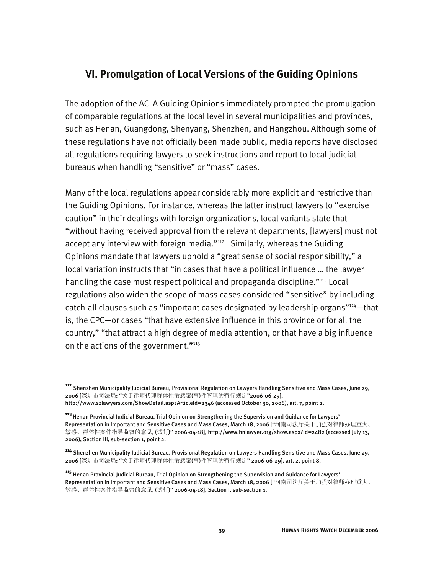## **VI. Promulgation of Local Versions of the Guiding Opinions**

The adoption of the ACLA Guiding Opinions immediately prompted the promulgation of comparable regulations at the local level in several municipalities and provinces, such as Henan, Guangdong, Shenyang, Shenzhen, and Hangzhou. Although some of these regulations have not officially been made public, media reports have disclosed all regulations requiring lawyers to seek instructions and report to local judicial bureaus when handling "sensitive" or "mass" cases.

Many of the local regulations appear considerably more explicit and restrictive than the Guiding Opinions. For instance, whereas the latter instruct lawyers to "exercise caution" in their dealings with foreign organizations, local variants state that "without having received approval from the relevant departments, [lawyers] must not accept any interview with foreign media."<sup>112</sup> Similarly, whereas the Guiding Opinions mandate that lawyers uphold a "great sense of social responsibility," a local variation instructs that "in cases that have a political influence … the lawyer handling the case must respect political and propaganda discipline."<sup>113</sup> Local regulations also widen the scope of mass cases considered "sensitive" by including catch-all clauses such as "important cases designated by leadership organs"<sup>114</sup>-that is, the CPC—or cases "that have extensive influence in this province or for all the country," "that attract a high degree of media attention, or that have a big influence on the actions of the government."<sup>115</sup>

**<sup>112</sup>** Shenzhen Municipality Judicial Bureau, Provisional Regulation on Lawyers Handling Sensitive and Mass Cases, June 29, 2006 [深圳市司法局: "关于律师代理群体性敏感案(事)件管理的暂行规定"2006-06-29],

http://www.szlawyers.com/ShowDetail.asp?ArticleId=2346 (accessed October 30, 2006), art. 7, point 2.

**<sup>113</sup>**Henan Provincial Judicial Bureau, Trial Opinion on Strengthening the Supervision and Guidance for Lawyers' Representation in Important and Sensitive Cases and Mass Cases, March 18, 2006 ["河南司法厅关于加强对律师办理重大、 敏感、群体性案件指导监督的意见, (试行)" 2006-04-18], http://www.hnlawyer.org/show.aspx?id=2482 (accessed July 13, 2006), Section III, sub-section 1, point 2.

**<sup>114</sup>** Shenzhen Municipality Judicial Bureau, Provisional Regulation on Lawyers Handling Sensitive and Mass Cases, June 29, 2006 [深圳市司法局: "关于律师代理群体性敏感案(事)件管理的暂行规定" 2006-06-29], art. 2, point 8.

**<sup>115</sup>** Henan Provincial Judicial Bureau, Trial Opinion on Strengthening the Supervision and Guidance for Lawyers' Representation in Important and Sensitive Cases and Mass Cases, March 18, 2006 ["河南司法厅关于加强对律师办理重大、 敏感、群体性案件指导监督的意见, (试行)" 2006-04-18], Section I, sub-section 1.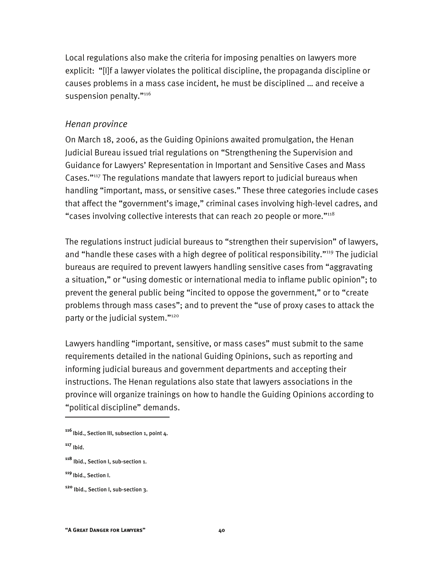Local regulations also make the criteria for imposing penalties on lawyers more explicit: "[I]f a lawyer violates the political discipline, the propaganda discipline or causes problems in a mass case incident, he must be disciplined … and receive a suspension penalty."116

#### *Henan province*

On March 18, 2006, as the Guiding Opinions awaited promulgation, the Henan Judicial Bureau issued trial regulations on "Strengthening the Supervision and Guidance for Lawyers' Representation in Important and Sensitive Cases and Mass Cases."117 The regulations mandate that lawyers report to judicial bureaus when handling "important, mass, or sensitive cases." These three categories include cases that affect the "government's image," criminal cases involving high-level cadres, and "cases involving collective interests that can reach 20 people or more."118

The regulations instruct judicial bureaus to "strengthen their supervision" of lawyers, and "handle these cases with a high degree of political responsibility."<sup>119</sup> The judicial bureaus are required to prevent lawyers handling sensitive cases from "aggravating a situation," or "using domestic or international media to inflame public opinion"; to prevent the general public being "incited to oppose the government," or to "create problems through mass cases"; and to prevent the "use of proxy cases to attack the party or the judicial system."120

Lawyers handling "important, sensitive, or mass cases" must submit to the same requirements detailed in the national Guiding Opinions, such as reporting and informing judicial bureaus and government departments and accepting their instructions. The Henan regulations also state that lawyers associations in the province will organize trainings on how to handle the Guiding Opinions according to "political discipline" demands.

<sup>&</sup>lt;sup>116</sup> Ibid., Section III, subsection 1, point 4.

**<sup>117</sup>** Ibid.

**<sup>118</sup>** Ibid., Section I, sub-section 1.

**<sup>119</sup>**Ibid., Section I.

**<sup>120</sup>** Ibid., Section I, sub-section 3.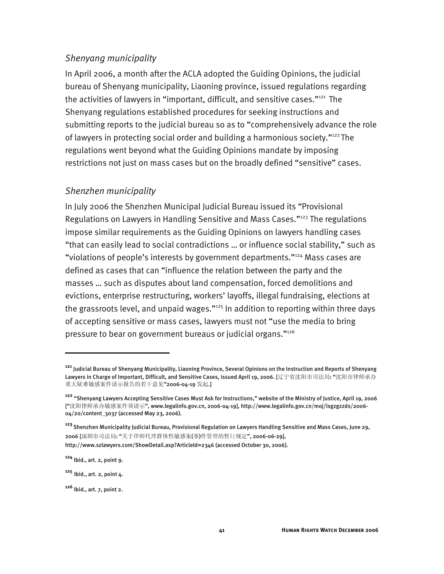#### *Shenyang municipality*

In April 2006, a month after the ACLA adopted the Guiding Opinions, the judicial bureau of Shenyang municipality, Liaoning province, issued regulations regarding the activities of lawyers in "important, difficult, and sensitive cases."<sup>121</sup> The Shenyang regulations established procedures for seeking instructions and submitting reports to the judicial bureau so as to "comprehensively advance the role of lawyers in protecting social order and building a harmonious society."<sup>122</sup> The regulations went beyond what the Guiding Opinions mandate by imposing restrictions not just on mass cases but on the broadly defined "sensitive" cases.

#### *Shenzhen municipality*

In July 2006 the Shenzhen Municipal Judicial Bureau issued its "Provisional Regulations on Lawyers in Handling Sensitive and Mass Cases."123 The regulations impose similar requirements as the Guiding Opinions on lawyers handling cases "that can easily lead to social contradictions … or influence social stability," such as "violations of people's interests by government departments."124 Mass cases are defined as cases that can "influence the relation between the party and the masses … such as disputes about land compensation, forced demolitions and evictions, enterprise restructuring, workers' layoffs, illegal fundraising, elections at the grassroots level, and unpaid wages."<sup>125</sup> In addition to reporting within three days of accepting sensitive or mass cases, lawyers must not "use the media to bring pressure to bear on government bureaus or judicial organs."126

**<sup>121</sup>** Judicial Bureau of Shenyang Municipality, Liaoning Province, Several Opinions on the Instruction and Reports of Shenyang Lawyers in Charge of Important, Difficult, and Sensitive Cases, issued April 19, 2006. [辽宁省沈阳市司法局: "沈阳市律师承办 重大疑难敏感案件请示报告的若干意见"2006-04-19 发起.]

**<sup>122</sup>** "Shenyang Lawyers Accepting Sensitive Cases Must Ask for Instructions," website of the Ministry of Justice, April 19, 2006 ["沈阳律师承办敏感案件须请示", www.legalinfo.gov.cn, 2006-04-19], http://www.legalinfo.gov.cn/moj/lsgzgzzds/2006- 04/20/content\_3037 (accessed May 23, 2006).

**<sup>123</sup>**Shenzhen Municipality Judicial Bureau, Provisional Regulation on Lawyers Handling Sensitive and Mass Cases, June 29, 2006 [深圳市司法局: "关于律师代理群体性敏感案(事)件管理的暂行规定", 2006-06-29], http://www.szlawyers.com/ShowDetail.asp?ArticleId=2346 (accessed October 30, 2006).

**<sup>124</sup>** Ibid., art. 2, point 9.

**<sup>125</sup>** Ibid., art. 2, point 4.

**<sup>126</sup>** Ibid., art. 7, point 2.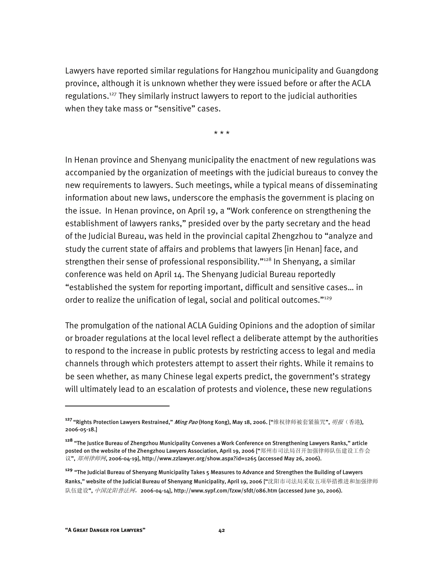Lawyers have reported similar regulations for Hangzhou municipality and Guangdong province, although it is unknown whether they were issued before or after the ACLA regulations.127 They similarly instruct lawyers to report to the judicial authorities when they take mass or "sensitive" cases.

\* \* \*

In Henan province and Shenyang municipality the enactment of new regulations was accompanied by the organization of meetings with the judicial bureaus to convey the new requirements to lawyers. Such meetings, while a typical means of disseminating information about new laws, underscore the emphasis the government is placing on the issue. In Henan province, on April 19, a "Work conference on strengthening the establishment of lawyers ranks," presided over by the party secretary and the head of the Judicial Bureau, was held in the provincial capital Zhengzhou to "analyze and study the current state of affairs and problems that lawyers [in Henan] face, and strengthen their sense of professional responsibility."<sup>128</sup> In Shenyang, a similar conference was held on April 14. The Shenyang Judicial Bureau reportedly "established the system for reporting important, difficult and sensitive cases… in order to realize the unification of legal, social and political outcomes."<sup>129</sup>

The promulgation of the national ACLA Guiding Opinions and the adoption of similar or broader regulations at the local level reflect a deliberate attempt by the authorities to respond to the increase in public protests by restricting access to legal and media channels through which protesters attempt to assert their rights. While it remains to be seen whether, as many Chinese legal experts predict, the government's strategy will ultimately lead to an escalation of protests and violence, these new regulations

**<sup>127</sup>**"Rights Protection Lawyers Restrained," Ming Pao (Hong Kong), May 18, 2006. ["维权律师被套紧箍咒", 明报(香港), 2006-05-18.]

**<sup>128</sup>** "The Justice Bureau of Zhengzhou Municipality Convenes a Work Conference on Strengthening Lawyers Ranks," article posted on the website of the Zhengzhou Lawyers Association, April 19, 2006 ["郑州市司法局召开加强律师队伍建设工作会 议", *郑州律师网*, 2006-04-19], http://www.zzlawyer.org/show.aspx?id=1265 (accessed May 26, 2006).

**<sup>129</sup>** "The Judicial Bureau of Shenyang Municipality Takes 5 Measures to Advance and Strengthen the Building of Lawyers Ranks," website of the Judicial Bureau of Shenyang Municipality, April 19, 2006 ["沈阳市司法局采取五项举措推进和加强律师 队伍建设", 中*国沈阳普法网*, 2006-04-14], http://www.sypf.com/fzxw/sfdt/086.htm (accessed June 30, 2006).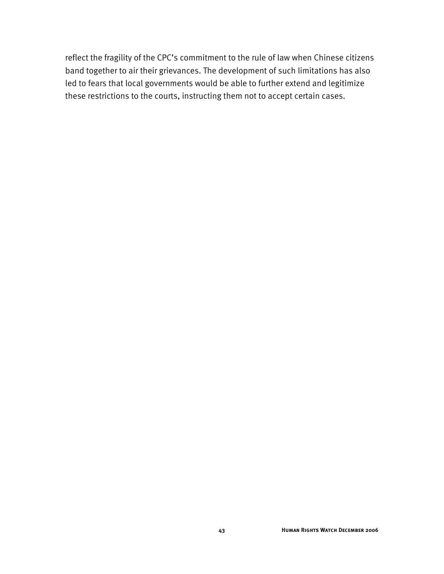reflect the fragility of the CPC's commitment to the rule of law when Chinese citizens band together to air their grievances. The development of such limitations has also led to fears that local governments would be able to further extend and legitimize these restrictions to the courts, instructing them not to accept certain cases.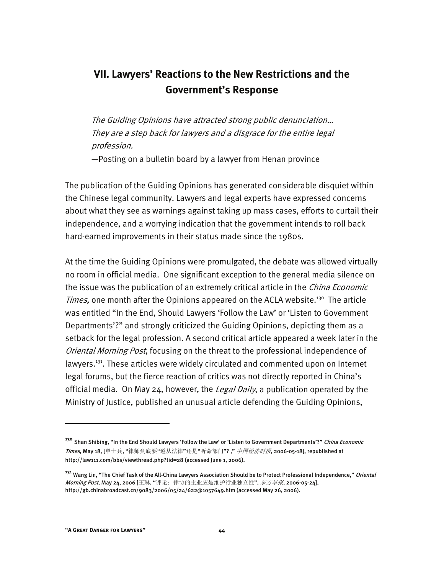# **VII. Lawyers' Reactions to the New Restrictions and the Government's Response**

The Guiding Opinions have attracted strong public denunciation… They are a step back for lawyers and a disgrace for the entire legal profession.

—Posting on a bulletin board by a lawyer from Henan province

The publication of the Guiding Opinions has generated considerable disquiet within the Chinese legal community. Lawyers and legal experts have expressed concerns about what they see as warnings against taking up mass cases, efforts to curtail their independence, and a worrying indication that the government intends to roll back hard-earned improvements in their status made since the 1980s.

At the time the Guiding Opinions were promulgated, the debate was allowed virtually no room in official media. One significant exception to the general media silence on the issue was the publication of an extremely critical article in the *China Economic* Times, one month after the Opinions appeared on the ACLA website.<sup>130</sup> The article was entitled "In the End, Should Lawyers 'Follow the Law' or 'Listen to Government Departments'?" and strongly criticized the Guiding Opinions, depicting them as a setback for the legal profession. A second critical article appeared a week later in the Oriental Morning Post, focusing on the threat to the professional independence of lawyers.<sup>131</sup>. These articles were widely circulated and commented upon on Internet legal forums, but the fierce reaction of critics was not directly reported in China's official media. On May 24, however, the Legal Daily, a publication operated by the Ministry of Justice, published an unusual article defending the Guiding Opinions,

**<sup>130</sup>** Shan Shibing, "In the End Should Lawyers 'Follow the Law' or 'Listen to Government Departments'?" China Economic Times, May 18, [单士兵, "律师到底要"遵从法律"还是"听命部门"?," *中国经济时报*, 2006-05-18], republished at http://law111.com/bbs/viewthread.php?tid=28 (accessed June 1, 2006).

**<sup>131</sup>** Wang Lin, "The Chief Task of the All-China Lawyers Association Should be to Protect Professional Independence," Oriental Morning Post, May 24, 2006 [王琳, "评论: 律协的主业应是维护行业独立性", *东方早报*, 2006-05-24], http://gb.chinabroadcast.cn/9083/2006/05/24/622@1057649.htm (accessed May 26, 2006).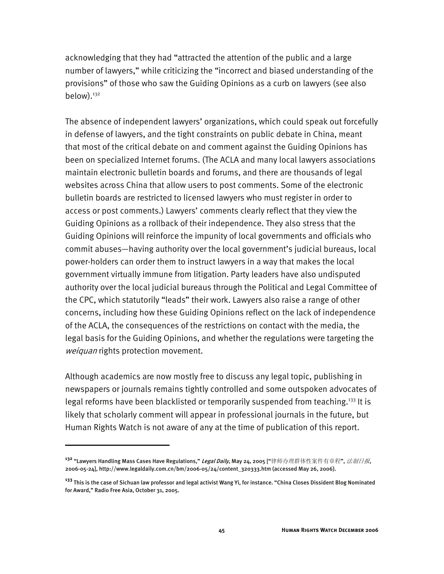acknowledging that they had "attracted the attention of the public and a large number of lawyers," while criticizing the "incorrect and biased understanding of the provisions" of those who saw the Guiding Opinions as a curb on lawyers (see also below).<sup>132</sup>

The absence of independent lawyers' organizations, which could speak out forcefully in defense of lawyers, and the tight constraints on public debate in China, meant that most of the critical debate on and comment against the Guiding Opinions has been on specialized Internet forums. (The ACLA and many local lawyers associations maintain electronic bulletin boards and forums, and there are thousands of legal websites across China that allow users to post comments. Some of the electronic bulletin boards are restricted to licensed lawyers who must register in order to access or post comments.) Lawyers' comments clearly reflect that they view the Guiding Opinions as a rollback of their independence. They also stress that the Guiding Opinions will reinforce the impunity of local governments and officials who commit abuses—having authority over the local government's judicial bureaus, local power-holders can order them to instruct lawyers in a way that makes the local government virtually immune from litigation. Party leaders have also undisputed authority over the local judicial bureaus through the Political and Legal Committee of the CPC, which statutorily "leads" their work. Lawyers also raise a range of other concerns, including how these Guiding Opinions reflect on the lack of independence of the ACLA, the consequences of the restrictions on contact with the media, the legal basis for the Guiding Opinions, and whether the regulations were targeting the weiquan rights protection movement.

Although academics are now mostly free to discuss any legal topic, publishing in newspapers or journals remains tightly controlled and some outspoken advocates of legal reforms have been blacklisted or temporarily suspended from teaching.<sup>133</sup> It is likely that scholarly comment will appear in professional journals in the future, but Human Rights Watch is not aware of any at the time of publication of this report.

-

**<sup>132</sup>** "Lawyers Handling Mass Cases Have Regulations," Legal Daily, May 24, 2005 ["律师办理群体性案件有章程", 法制日报, 2006-05-24], http://www.legaldaily.com.cn/bm/2006-05/24/content\_320333.htm (accessed May 26, 2006).

**<sup>133</sup>** This is the case of Sichuan law professor and legal activist Wang Yi, for instance. "China Closes Dissident Blog Nominated for Award," Radio Free Asia, October 31, 2005.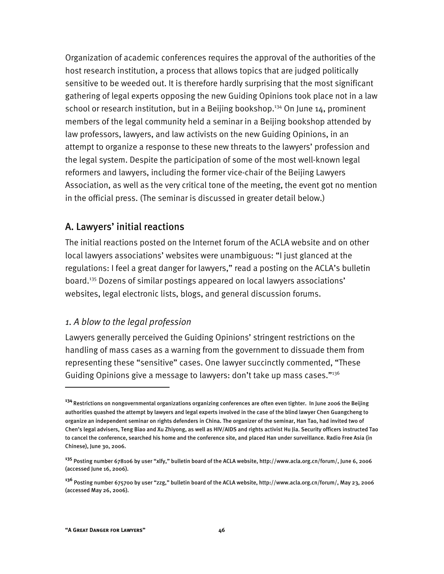Organization of academic conferences requires the approval of the authorities of the host research institution, a process that allows topics that are judged politically sensitive to be weeded out. It is therefore hardly surprising that the most significant gathering of legal experts opposing the new Guiding Opinions took place not in a law school or research institution, but in a Beijing bookshop.<sup>134</sup> On June 14, prominent members of the legal community held a seminar in a Beijing bookshop attended by law professors, lawyers, and law activists on the new Guiding Opinions, in an attempt to organize a response to these new threats to the lawyers' profession and the legal system. Despite the participation of some of the most well-known legal reformers and lawyers, including the former vice-chair of the Beijing Lawyers Association, as well as the very critical tone of the meeting, the event got no mention in the official press. (The seminar is discussed in greater detail below.)

#### A. Lawyers' initial reactions

The initial reactions posted on the Internet forum of the ACLA website and on other local lawyers associations' websites were unambiguous: "I just glanced at the regulations: I feel a great danger for lawyers," read a posting on the ACLA's bulletin board.135 Dozens of similar postings appeared on local lawyers associations' websites, legal electronic lists, blogs, and general discussion forums.

#### *1. A blow to the legal profession*

Lawyers generally perceived the Guiding Opinions' stringent restrictions on the handling of mass cases as a warning from the government to dissuade them from representing these "sensitive" cases. One lawyer succinctly commented, "These Guiding Opinions give a message to lawyers: don't take up mass cases."<sup>136</sup>

j

**<sup>134</sup>**Restrictions on nongovernmental organizations organizing conferences are often even tighter. In June 2006 the Beijing authorities quashed the attempt by lawyers and legal experts involved in the case of the blind lawyer Chen Guangcheng to organize an independent seminar on rights defenders in China. The organizer of the seminar, Han Tao, had invited two of Chen's legal advisers, Teng Biao and Xu Zhiyong, as well as HIV/AIDS and rights activist Hu Jia. Security officers instructed Tao to cancel the conference, searched his home and the conference site, and placed Han under surveillance. Radio Free Asia (in Chinese), June 30, 2006.

**<sup>135</sup>** Posting number 678106 by user "xlfy," bulletin board of the ACLA website, http://www.acla.org.cn/forum/, June 6, 2006 (accessed June 16, 2006).

**<sup>136</sup>** Posting number 675700 by user "zzg," bulletin board of the ACLA website, http://www.acla.org.cn/forum/, May 23, 2006 (accessed May 26, 2006).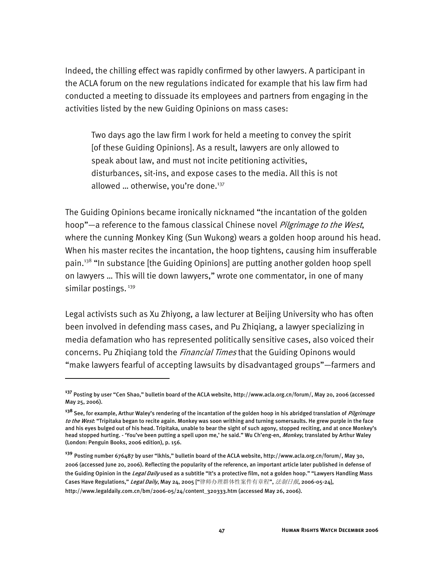Indeed, the chilling effect was rapidly confirmed by other lawyers. A participant in the ACLA forum on the new regulations indicated for example that his law firm had conducted a meeting to dissuade its employees and partners from engaging in the activities listed by the new Guiding Opinions on mass cases:

Two days ago the law firm I work for held a meeting to convey the spirit [of these Guiding Opinions]. As a result, lawyers are only allowed to speak about law, and must not incite petitioning activities, disturbances, sit-ins, and expose cases to the media. All this is not allowed ... otherwise, you're done. $137$ 

The Guiding Opinions became ironically nicknamed "the incantation of the golden hoop"—a reference to the famous classical Chinese novel *Pilgrimage to the West*, where the cunning Monkey King (Sun Wukong) wears a golden hoop around his head. When his master recites the incantation, the hoop tightens, causing him insufferable pain.<sup>138</sup> "In substance [the Guiding Opinions] are putting another golden hoop spell on lawyers … This will tie down lawyers," wrote one commentator, in one of many similar postings.<sup>139</sup>

Legal activists such as Xu Zhiyong, a law lecturer at Beijing University who has often been involved in defending mass cases, and Pu Zhiqiang, a lawyer specializing in media defamation who has represented politically sensitive cases, also voiced their concerns. Pu Zhigiang told the *Financial Times* that the Guiding Opinons would "make lawyers fearful of accepting lawsuits by disadvantaged groups"—farmers and

-

**<sup>137</sup>** Posting by user "Cen Shao," bulletin board of the ACLA website, http://www.acla.org.cn/forum/, May 20, 2006 (accessed May 25, 2006).

**<sup>138</sup>** See, for example, Arthur Waley's rendering of the incantation of the golden hoop in his abridged translation of Pilgrimage to the West: "Tripitaka began to recite again. Monkey was soon writhing and turning somersaults. He grew purple in the face and his eyes bulged out of his head. Tripitaka, unable to bear the sight of such agony, stopped reciting, and at once Monkey's head stopped hurting. - 'You've been putting a spell upon me,' he said." Wu Ch'eng-en, Monkey, translated by Arthur Waley (London: Penguin Books, 2006 edition), p. 156.

**<sup>139</sup>** Posting number 676487 by user "lkhls," bulletin board of the ACLA website, http://www.acla.org.cn/forum/, May 30, 2006 (accessed June 20, 2006). Reflecting the popularity of the reference, an important article later published in defense of the Guiding Opinion in the *Legal Daily* used as a subtitle "It's a protective film, not a golden hoop." "Lawyers Handling Mass Cases Have Regulations," *Legal Daily*, May 24, 2005 ["律师办理群体性案件有章程", *法制日报*, 2006-05-24], http://www.legaldaily.com.cn/bm/2006-05/24/content\_320333.htm (accessed May 26, 2006).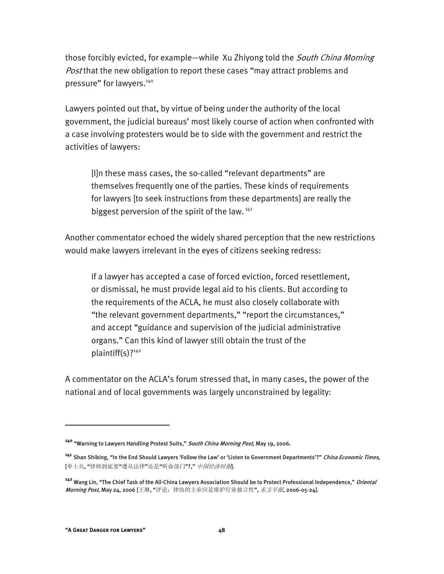those forcibly evicted, for example—while Xu Zhiyong told the *South China Morning Post* that the new obligation to report these cases "may attract problems and pressure" for lawyers.<sup>140</sup>

Lawyers pointed out that, by virtue of being under the authority of the local government, the judicial bureaus' most likely course of action when confronted with a case involving protesters would be to side with the government and restrict the activities of lawyers:

[I]n these mass cases, the so-called "relevant departments" are themselves frequently one of the parties. These kinds of requirements for lawyers [to seek instructions from these departments] are really the biggest perversion of the spirit of the law.  $141$ 

Another commentator echoed the widely shared perception that the new restrictions would make lawyers irrelevant in the eyes of citizens seeking redress:

If a lawyer has accepted a case of forced eviction, forced resettlement, or dismissal, he must provide legal aid to his clients. But according to the requirements of the ACLA, he must also closely collaborate with "the relevant government departments," "report the circumstances," and accept "guidance and supervision of the judicial administrative organs." Can this kind of lawyer still obtain the trust of the plaintiff(s)?<sup>142</sup>

A commentator on the ACLA's forum stressed that, in many cases, the power of the national and of local governments was largely unconstrained by legality:

**<sup>140</sup>** "Warning to Lawyers Handling Protest Suits," South China Morning Post, May 19, 2006.

**<sup>141</sup>** Shan Shibing, "In the End Should Lawyers 'Follow the Law' or 'Listen to Government Departments'?" China Economic Times, [单士兵,"律师到底要"遵从法律"还是"听命部门"?,"中国经济时报.

**<sup>142</sup>** Wang Lin, "The Chief Task of the All-China Lawyers Association Should be to Protect Professional Independence," Oriental Morning Post, May 24, 2006 [王琳, "评论: 律协的主业应是维护行业独立性", *东方早报*, 2006-05-24].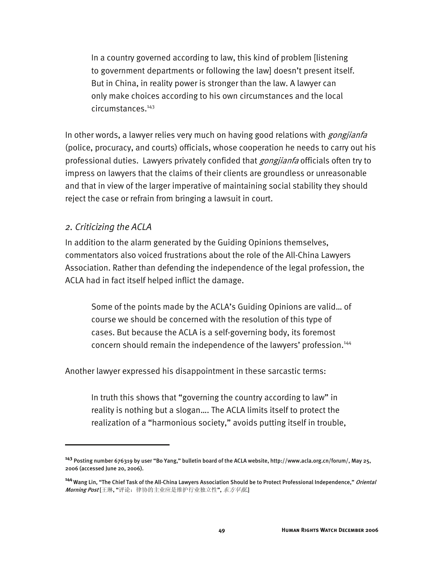In a country governed according to law, this kind of problem [listening to government departments or following the law] doesn't present itself. But in China, in reality power is stronger than the law. A lawyer can only make choices according to his own circumstances and the local circumstances.143

In other words, a lawyer relies very much on having good relations with *gongjianfa* (police, procuracy, and courts) officials, whose cooperation he needs to carry out his professional duties. Lawyers privately confided that *gongjianfa* officials often try to impress on lawyers that the claims of their clients are groundless or unreasonable and that in view of the larger imperative of maintaining social stability they should reject the case or refrain from bringing a lawsuit in court.

#### *2. Criticizing the ACLA*

j

In addition to the alarm generated by the Guiding Opinions themselves, commentators also voiced frustrations about the role of the All-China Lawyers Association. Rather than defending the independence of the legal profession, the ACLA had in fact itself helped inflict the damage.

Some of the points made by the ACLA's Guiding Opinions are valid… of course we should be concerned with the resolution of this type of cases. But because the ACLA is a self-governing body, its foremost concern should remain the independence of the lawyers' profession.<sup>144</sup>

Another lawyer expressed his disappointment in these sarcastic terms:

In truth this shows that "governing the country according to law" in reality is nothing but a slogan…. The ACLA limits itself to protect the realization of a "harmonious society," avoids putting itself in trouble,

**<sup>143</sup>** Posting number 676319 by user "Bo Yang," bulletin board of the ACLA website, http://www.acla.org.cn/forum/, May 25, 2006 (accessed June 20, 2006).

**<sup>144</sup>**Wang Lin, "The Chief Task of the All-China Lawyers Association Should be to Protect Professional Independence," Oriental Morning Post [王琳, "评论: 律协的主业应是维护行业独立性", 东方早报.]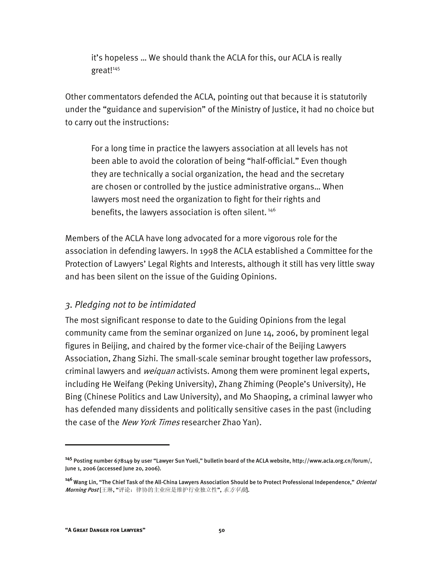it's hopeless … We should thank the ACLA for this, our ACLA is really great!<sup>145</sup>

Other commentators defended the ACLA, pointing out that because it is statutorily under the "guidance and supervision" of the Ministry of Justice, it had no choice but to carry out the instructions:

For a long time in practice the lawyers association at all levels has not been able to avoid the coloration of being "half-official." Even though they are technically a social organization, the head and the secretary are chosen or controlled by the justice administrative organs… When lawyers most need the organization to fight for their rights and benefits, the lawyers association is often silent.<sup>146</sup>

Members of the ACLA have long advocated for a more vigorous role for the association in defending lawyers. In 1998 the ACLA established a Committee for the Protection of Lawyers' Legal Rights and Interests, although it still has very little sway and has been silent on the issue of the Guiding Opinions.

#### *3. Pledging not to be intimidated*

The most significant response to date to the Guiding Opinions from the legal community came from the seminar organized on June 14, 2006, by prominent legal figures in Beijing, and chaired by the former vice-chair of the Beijing Lawyers Association, Zhang Sizhi. The small-scale seminar brought together law professors, criminal lawyers and *weiquan* activists. Among them were prominent legal experts, including He Weifang (Peking University), Zhang Zhiming (People's University), He Bing (Chinese Politics and Law University), and Mo Shaoping, a criminal lawyer who has defended many dissidents and politically sensitive cases in the past (including the case of the *New York Times* researcher Zhao Yan).

-

**<sup>145</sup>** Posting number 678149 by user "Lawyer Sun Yueli," bulletin board of the ACLA website, http://www.acla.org.cn/forum/, June 1, 2006 (accessed June 20, 2006).

**<sup>146</sup>**Wang Lin, "The Chief Task of the All-China Lawyers Association Should be to Protect Professional Independence," Oriental Morning Post [王琳, "评论: 律协的主业应是维护行业独立性", 东方早报.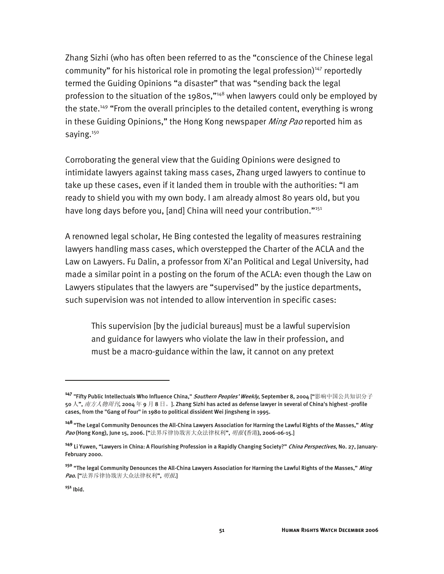Zhang Sizhi (who has often been referred to as the "conscience of the Chinese legal community" for his historical role in promoting the legal profession)<sup>147</sup> reportedly termed the Guiding Opinions "a disaster" that was "sending back the legal profession to the situation of the 1980s,"148 when lawyers could only be employed by the state.<sup>149</sup> "From the overall principles to the detailed content, everything is wrong in these Guiding Opinions," the Hong Kong newspaper *Ming Pao* reported him as saying.<sup>150</sup>

Corroborating the general view that the Guiding Opinions were designed to intimidate lawyers against taking mass cases, Zhang urged lawyers to continue to take up these cases, even if it landed them in trouble with the authorities: "I am ready to shield you with my own body. I am already almost 80 years old, but you have long days before you, [and] China will need your contribution."<sup>151</sup>

A renowned legal scholar, He Bing contested the legality of measures restraining lawyers handling mass cases, which overstepped the Charter of the ACLA and the Law on Lawyers. Fu Dalin, a professor from Xi'an Political and Legal University, had made a similar point in a posting on the forum of the ACLA: even though the Law on Lawyers stipulates that the lawyers are "supervised" by the justice departments, such supervision was not intended to allow intervention in specific cases:

This supervision [by the judicial bureaus] must be a lawful supervision and guidance for lawyers who violate the law in their profession, and must be a macro-guidance within the law, it cannot on any pretext

j

**<sup>147</sup>** "Fifty Public Intellectuals Who Influence China," Southern Peoples' Weekly, September 8, 2004 ["影响中国公共知识分子 50 人", *南方人物周刊*, 2004 年 9 月 8 日。]. Zhang Sizhi has acted as defense lawyer in several of China's highest -profile cases, from the "Gang of Four" in 1980 to political dissident Wei Jingsheng in 1995.

**<sup>148</sup>**"The Legal Community Denounces the All-China Lawyers Association for Harming the Lawful Rights of the Masses," Ming Pao (Hong Kong), June 15, 2006. ["法界斥律协戕害大众法律权利", *明报* (香港), 2006-06-15.]

**<sup>149</sup>** Li Yuwen, "Lawyers in China: A Flourishing Profession in a Rapidly Changing Society?" China Perspectives, No. 27, January-February 2000.

**<sup>150</sup>** "The legal Community Denounces the All-China Lawyers Association for Harming the Lawful Rights of the Masses," Ming Pao. ["法界斥律协戕害大众法律权利", *明报*.]

**<sup>151</sup>** Ibid.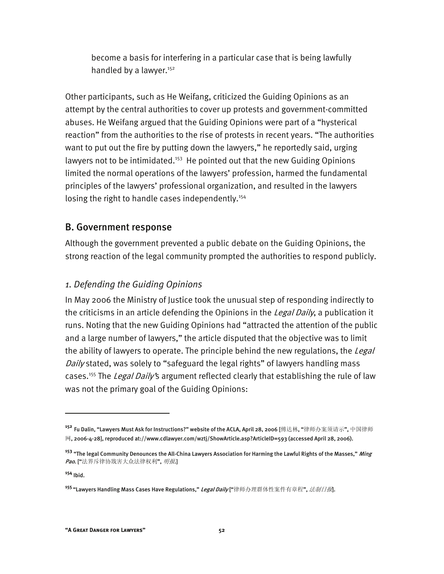become a basis for interfering in a particular case that is being lawfully handled by a lawyer.<sup>152</sup>

Other participants, such as He Weifang, criticized the Guiding Opinions as an attempt by the central authorities to cover up protests and government-committed abuses. He Weifang argued that the Guiding Opinions were part of a "hysterical reaction" from the authorities to the rise of protests in recent years. "The authorities want to put out the fire by putting down the lawyers," he reportedly said, urging lawyers not to be intimidated.<sup>153</sup> He pointed out that the new Guiding Opinions limited the normal operations of the lawyers' profession, harmed the fundamental principles of the lawyers' professional organization, and resulted in the lawyers losing the right to handle cases independently.<sup>154</sup>

## B. Government response

Although the government prevented a public debate on the Guiding Opinions, the strong reaction of the legal community prompted the authorities to respond publicly.

## *1. Defending the Guiding Opinions*

In May 2006 the Ministry of Justice took the unusual step of responding indirectly to the criticisms in an article defending the Opinions in the Legal Daily, a publication it runs. Noting that the new Guiding Opinions had "attracted the attention of the public and a large number of lawyers," the article disputed that the objective was to limit the ability of lawyers to operate. The principle behind the new regulations, the *Legal* Daily stated, was solely to "safeguard the legal rights" of lawyers handling mass cases.<sup>155</sup> The *Legal Daily'*s argument reflected clearly that establishing the rule of law was not the primary goal of the Guiding Opinions:

**<sup>154</sup>** Ibid.

**<sup>152</sup>** Fu Dalin, "Lawyers Must Ask for Instructions?" website of the ACLA, April 28, 2006 [傅达林, "律师办案须请示", 中国律师  ${}^{{\overline{\text{M}}}}$ , 2006-4-28], reproduced at://www.cdlawyer.com/wztj/ShowArticle.asp?ArticleID=593 (accessed April 28, 2006).

**<sup>153</sup>** "The legal Community Denounces the All-China Lawyers Association for Harming the Lawful Rights of the Masses," Ming Pao. ["法界斥律协戕害大众法律权利", *明报*.]

**<sup>155</sup>**"Lawyers Handling Mass Cases Have Regulations," Legal Daily ["律师办理群体性案件有章程", 法制日报].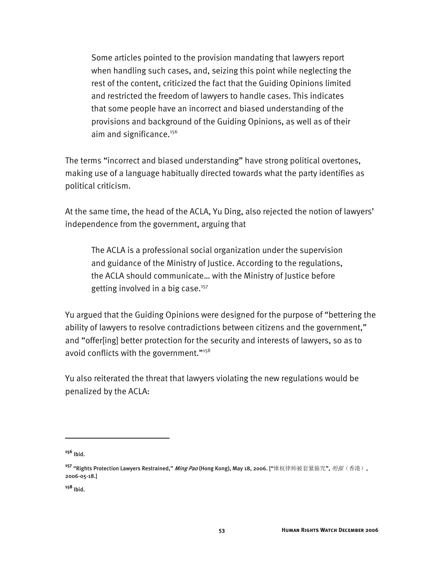Some articles pointed to the provision mandating that lawyers report when handling such cases, and, seizing this point while neglecting the rest of the content, criticized the fact that the Guiding Opinions limited and restricted the freedom of lawyers to handle cases. This indicates that some people have an incorrect and biased understanding of the provisions and background of the Guiding Opinions, as well as of their aim and significance. $156$ 

The terms "incorrect and biased understanding" have strong political overtones, making use of a language habitually directed towards what the party identifies as political criticism.

At the same time, the head of the ACLA, Yu Ding, also rejected the notion of lawyers' independence from the government, arguing that

The ACLA is a professional social organization under the supervision and guidance of the Ministry of Justice. According to the regulations, the ACLA should communicate… with the Ministry of Justice before getting involved in a big case. $157$ 

Yu argued that the Guiding Opinions were designed for the purpose of "bettering the ability of lawyers to resolve contradictions between citizens and the government," and "offer[ing] better protection for the security and interests of lawyers, so as to avoid conflicts with the government."158

Yu also reiterated the threat that lawyers violating the new regulations would be penalized by the ACLA:

**<sup>156</sup>** Ibid.

<sup>&</sup>lt;sup>157</sup> "Rights Protection Lawyers Restrained," *Ming Pao* (Hong Kong), May 18, 2006. ["维权律师被套紧箍咒", *明报*(香港), 2006-05-18.]

**<sup>158</sup>** Ibid.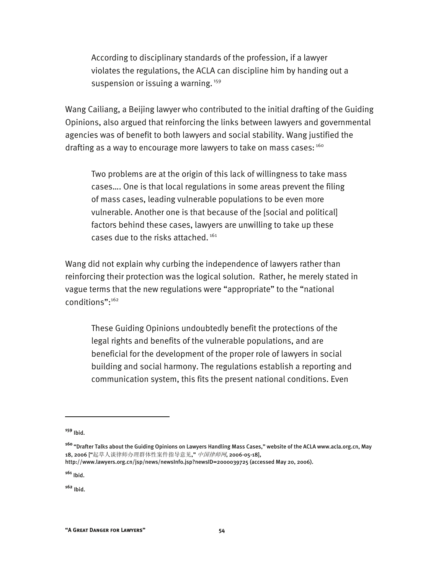According to disciplinary standards of the profession, if a lawyer violates the regulations, the ACLA can discipline him by handing out a suspension or issuing a warning.<sup>159</sup>

Wang Cailiang, a Beijing lawyer who contributed to the initial drafting of the Guiding Opinions, also argued that reinforcing the links between lawyers and governmental agencies was of benefit to both lawyers and social stability. Wang justified the drafting as a way to encourage more lawyers to take on mass cases: 160

Two problems are at the origin of this lack of willingness to take mass cases…. One is that local regulations in some areas prevent the filing of mass cases, leading vulnerable populations to be even more vulnerable. Another one is that because of the [social and political] factors behind these cases, lawyers are unwilling to take up these cases due to the risks attached.<sup>161</sup>

Wang did not explain why curbing the independence of lawyers rather than reinforcing their protection was the logical solution. Rather, he merely stated in vague terms that the new regulations were "appropriate" to the "national conditions":162

These Guiding Opinions undoubtedly benefit the protections of the legal rights and benefits of the vulnerable populations, and are beneficial for the development of the proper role of lawyers in social building and social harmony. The regulations establish a reporting and communication system, this fits the present national conditions. Even

I

**<sup>161</sup>** Ibid.

**<sup>162</sup>** Ibid.

**<sup>159</sup>** Ibid.

**<sup>160</sup>**"Drafter Talks about the Guiding Opinions on Lawyers Handling Mass Cases," website of the ACLA www.acla.org.cn, May 18, 2006 ["起草人谈律师办理群体性案件指导意见," 中国律师网, 2006-05-18],

http://www.lawyers.org.cn/jsp/news/newsInfo.jsp?newsID=2000039725 (accessed May 20, 2006).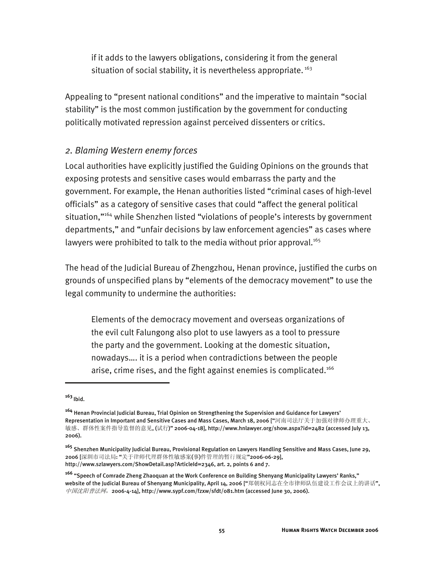if it adds to the lawyers obligations, considering it from the general situation of social stability, it is nevertheless appropriate.<sup>163</sup>

Appealing to "present national conditions" and the imperative to maintain "social stability" is the most common justification by the government for conducting politically motivated repression against perceived dissenters or critics.

#### *2. Blaming Western enemy forces*

Local authorities have explicitly justified the Guiding Opinions on the grounds that exposing protests and sensitive cases would embarrass the party and the government. For example, the Henan authorities listed "criminal cases of high-level officials" as a category of sensitive cases that could "affect the general political situation,"<sup>164</sup> while Shenzhen listed "violations of people's interests by government departments," and "unfair decisions by law enforcement agencies" as cases where lawyers were prohibited to talk to the media without prior approval.<sup>165</sup>

The head of the Judicial Bureau of Zhengzhou, Henan province, justified the curbs on grounds of unspecified plans by "elements of the democracy movement" to use the legal community to undermine the authorities:

Elements of the democracy movement and overseas organizations of the evil cult Falungong also plot to use lawyers as a tool to pressure the party and the government. Looking at the domestic situation, nowadays…. it is a period when contradictions between the people arise, crime rises, and the fight against enemies is complicated.<sup>166</sup>

j

**<sup>163</sup>**Ibid.

**<sup>164</sup>** Henan Provincial Judicial Bureau, Trial Opinion on Strengthening the Supervision and Guidance for Lawyers' Representation in Important and Sensitive Cases and Mass Cases, March 18, 2006 ["河南司法厅关于加强对律师办理重大、 敏感、群体性案件指导监督的意见, (试行)" 2006-04-18], http://www.hnlawyer.org/show.aspx?id=2482 (accessed July 13, 2006).

**<sup>165</sup>** Shenzhen Municipality Judicial Bureau, Provisional Regulation on Lawyers Handling Sensitive and Mass Cases, June 29, 2006 [深圳市司法局: "关于律师代理群体性敏感案(事)件管理的暂行规定"2006-06-29], http://www.szlawyers.com/ShowDetail.asp?ArticleId=2346, art. 2, points 6 and 7.

**<sup>166</sup>** "Speech of Comrade Zheng Zhaoquan at the Work Conference on Building Shenyang Municipality Lawyers' Ranks," website of the Judicial Bureau of Shenyang Municipality, April 14, 2006 ["郑朝权同志在全市律师队伍建设工作会议上的讲话", 中国沈阳普法网, 2006-4-14], http://www.sypf.com/fzxw/sfdt/081.htm (accessed June 30, 2006).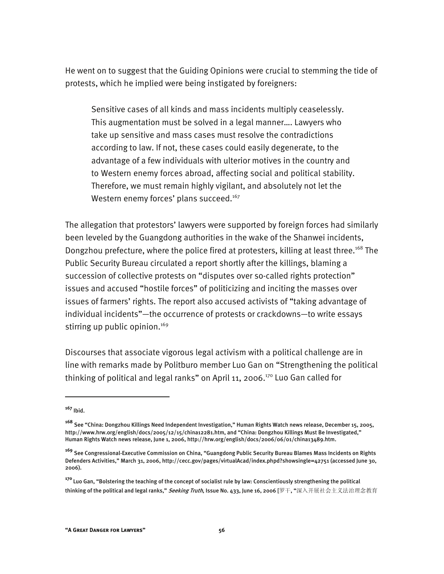He went on to suggest that the Guiding Opinions were crucial to stemming the tide of protests, which he implied were being instigated by foreigners:

Sensitive cases of all kinds and mass incidents multiply ceaselessly. This augmentation must be solved in a legal manner…. Lawyers who take up sensitive and mass cases must resolve the contradictions according to law. If not, these cases could easily degenerate, to the advantage of a few individuals with ulterior motives in the country and to Western enemy forces abroad, affecting social and political stability. Therefore, we must remain highly vigilant, and absolutely not let the Western enemy forces' plans succeed.<sup>167</sup>

The allegation that protestors' lawyers were supported by foreign forces had similarly been leveled by the Guangdong authorities in the wake of the Shanwei incidents, Dongzhou prefecture, where the police fired at protesters, killing at least three.<sup>168</sup> The Public Security Bureau circulated a report shortly after the killings, blaming a succession of collective protests on "disputes over so-called rights protection" issues and accused "hostile forces" of politicizing and inciting the masses over issues of farmers' rights. The report also accused activists of "taking advantage of individual incidents"—the occurrence of protests or crackdowns—to write essays stirring up public opinion.<sup>169</sup>

Discourses that associate vigorous legal activism with a political challenge are in line with remarks made by Politburo member Luo Gan on "Strengthening the political thinking of political and legal ranks" on April 11, 2006.<sup>170</sup> Luo Gan called for

**<sup>167</sup>** Ibid.

**<sup>168</sup>** See "China: Dongzhou Killings Need Independent Investigation," Human Rights Watch news release, December 15, 2005, http://www.hrw.org/english/docs/2005/12/15/china12281.htm, and "China: Dongzhou Killings Must Be Investigated," Human Rights Watch news release, June 1, 2006, http://hrw.org/english/docs/2006/06/01/china13489.htm.

**<sup>169</sup>** See Congressional-Executive Commission on China, "Guangdong Public Security Bureau Blames Mass Incidents on Rights Defenders Activities," March 31, 2006, http://cecc.gov/pages/virtualAcad/index.phpd?showsingle=42751 (accessed June 30, 2006).

**<sup>170</sup>**Luo Gan, "Bolstering the teaching of the concept of socialist rule by law: Conscientiously strengthening the political thinking of the political and legal ranks," *Seeking Truth*, Issue No. 433, June 16, 2006 [罗干, "深入开展社会主义法治理念教育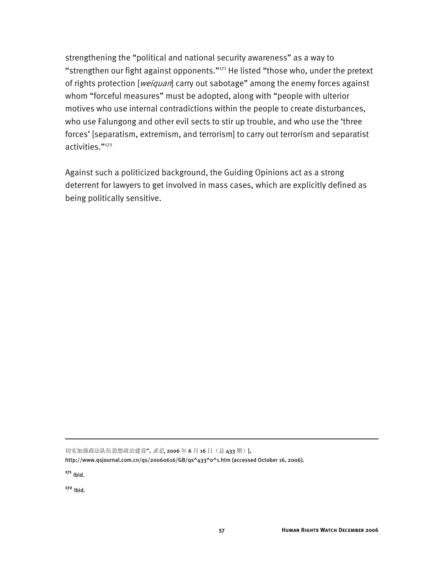strengthening the "political and national security awareness" as a way to "strengthen our fight against opponents."<sup>171</sup> He listed "those who, under the pretext of rights protection [weiquan] carry out sabotage" among the enemy forces against whom "forceful measures" must be adopted, along with "people with ulterior motives who use internal contradictions within the people to create disturbances, who use Falungong and other evil sects to stir up trouble, and who use the 'three forces' [separatism, extremism, and terrorism] to carry out terrorism and separatist activities."172

Against such a politicized background, the Guiding Opinions act as a strong deterrent for lawyers to get involved in mass cases, which are explicitly defined as being politically sensitive.

切实加强政法队伍思想政治建设", 求是, 2006年6月16日(总 433 期)],

**<sup>171</sup>** Ibid.

-

**<sup>172</sup>** Ibid.

http://www.qsjournal.com.cn/qs/20060616/GB/qs^433^0^1.htm (accessed October 16, 2006).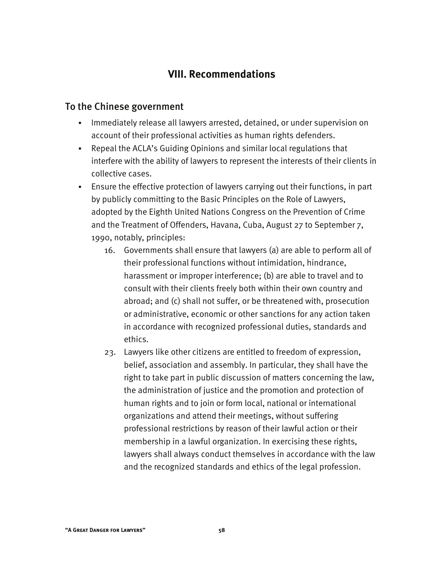## **VIII. Recommendations**

#### To the Chinese government

- **IMMED 19 and 13 and 13 and 13 and 13 and 13 and 13 and 14 and 14 and 14 and 14 and 14 and 14 and 14 and 14 and 1** account of their professional activities as human rights defenders.
- Repeal the ACLA's Guiding Opinions and similar local regulations that interfere with the ability of lawyers to represent the interests of their clients in collective cases.
- Ensure the effective protection of lawyers carrying out their functions, in part by publicly committing to the Basic Principles on the Role of Lawyers, adopted by the Eighth United Nations Congress on the Prevention of Crime and the Treatment of Offenders, Havana, Cuba, August 27 to September 7, 1990, notably, principles:
	- 16. Governments shall ensure that lawyers (a) are able to perform all of their professional functions without intimidation, hindrance, harassment or improper interference; (b) are able to travel and to consult with their clients freely both within their own country and abroad; and (c) shall not suffer, or be threatened with, prosecution or administrative, economic or other sanctions for any action taken in accordance with recognized professional duties, standards and ethics.
	- 23. Lawyers like other citizens are entitled to freedom of expression, belief, association and assembly. In particular, they shall have the right to take part in public discussion of matters concerning the law, the administration of justice and the promotion and protection of human rights and to join or form local, national or international organizations and attend their meetings, without suffering professional restrictions by reason of their lawful action or their membership in a lawful organization. In exercising these rights, lawyers shall always conduct themselves in accordance with the law and the recognized standards and ethics of the legal profession.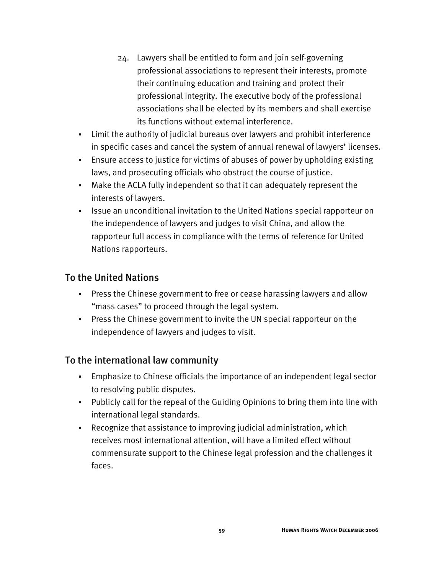- 24. Lawyers shall be entitled to form and join self-governing professional associations to represent their interests, promote their continuing education and training and protect their professional integrity. The executive body of the professional associations shall be elected by its members and shall exercise its functions without external interference.
- Limit the authority of judicial bureaus over lawyers and prohibit interference in specific cases and cancel the system of annual renewal of lawyers' licenses.
- Ensure access to justice for victims of abuses of power by upholding existing laws, and prosecuting officials who obstruct the course of justice.
- Make the ACLA fully independent so that it can adequately represent the interests of lawyers.
- **In It is an unconditional invitation to the United Nations special rapporteur on** the independence of lawyers and judges to visit China, and allow the rapporteur full access in compliance with the terms of reference for United Nations rapporteurs.

## To the United Nations

- Press the Chinese government to free or cease harassing lawyers and allow "mass cases" to proceed through the legal system.
- Press the Chinese government to invite the UN special rapporteur on the independence of lawyers and judges to visit.

## To the international law community

- Emphasize to Chinese officials the importance of an independent legal sector to resolving public disputes.
- Publicly call for the repeal of the Guiding Opinions to bring them into line with international legal standards.
- Recognize that assistance to improving judicial administration, which receives most international attention, will have a limited effect without commensurate support to the Chinese legal profession and the challenges it faces.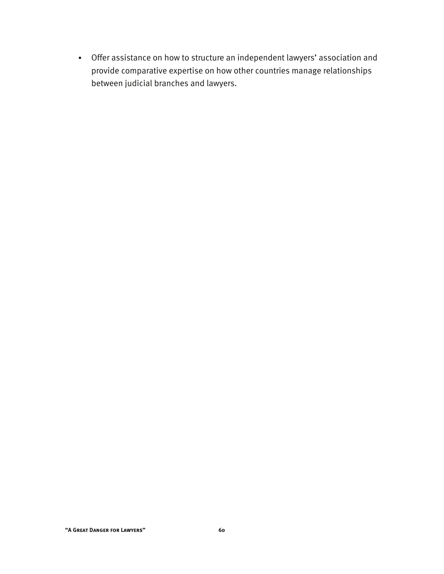Offer assistance on how to structure an independent lawyers' association and provide comparative expertise on how other countries manage relationships between judicial branches and lawyers.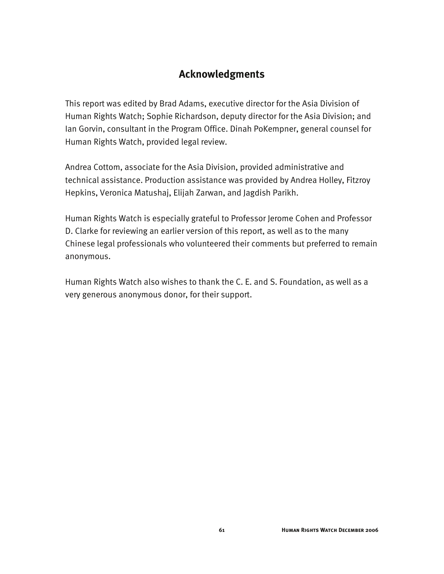## **Acknowledgments**

This report was edited by Brad Adams, executive director for the Asia Division of Human Rights Watch; Sophie Richardson, deputy director for the Asia Division; and Ian Gorvin, consultant in the Program Office. Dinah PoKempner, general counsel for Human Rights Watch, provided legal review.

Andrea Cottom, associate for the Asia Division, provided administrative and technical assistance. Production assistance was provided by Andrea Holley, Fitzroy Hepkins, Veronica Matushaj, Elijah Zarwan, and Jagdish Parikh.

Human Rights Watch is especially grateful to Professor Jerome Cohen and Professor D. Clarke for reviewing an earlier version of this report, as well as to the many Chinese legal professionals who volunteered their comments but preferred to remain anonymous.

Human Rights Watch also wishes to thank the C. E. and S. Foundation, as well as a very generous anonymous donor, for their support.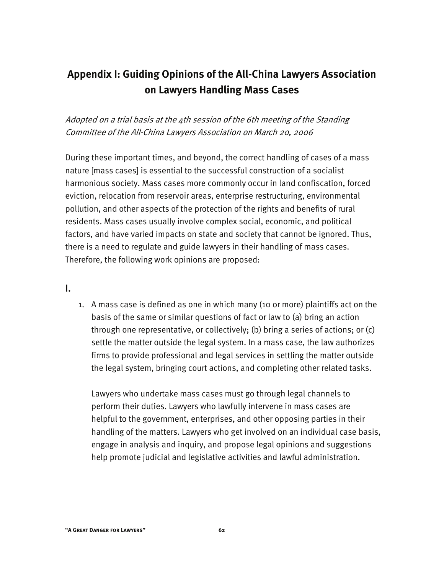# **Appendix I: Guiding Opinions of the All-China Lawyers Association on Lawyers Handling Mass Cases**

Adopted on a trial basis at the 4th session of the 6th meeting of the Standing Committee of the All-China Lawyers Association on March 20, 2006

During these important times, and beyond, the correct handling of cases of a mass nature [mass cases] is essential to the successful construction of a socialist harmonious society. Mass cases more commonly occur in land confiscation, forced eviction, relocation from reservoir areas, enterprise restructuring, environmental pollution, and other aspects of the protection of the rights and benefits of rural residents. Mass cases usually involve complex social, economic, and political factors, and have varied impacts on state and society that cannot be ignored. Thus, there is a need to regulate and guide lawyers in their handling of mass cases. Therefore, the following work opinions are proposed:

I.

1. A mass case is defined as one in which many (10 or more) plaintiffs act on the basis of the same or similar questions of fact or law to (a) bring an action through one representative, or collectively; (b) bring a series of actions; or (c) settle the matter outside the legal system. In a mass case, the law authorizes firms to provide professional and legal services in settling the matter outside the legal system, bringing court actions, and completing other related tasks.

Lawyers who undertake mass cases must go through legal channels to perform their duties. Lawyers who lawfully intervene in mass cases are helpful to the government, enterprises, and other opposing parties in their handling of the matters. Lawyers who get involved on an individual case basis, engage in analysis and inquiry, and propose legal opinions and suggestions help promote judicial and legislative activities and lawful administration.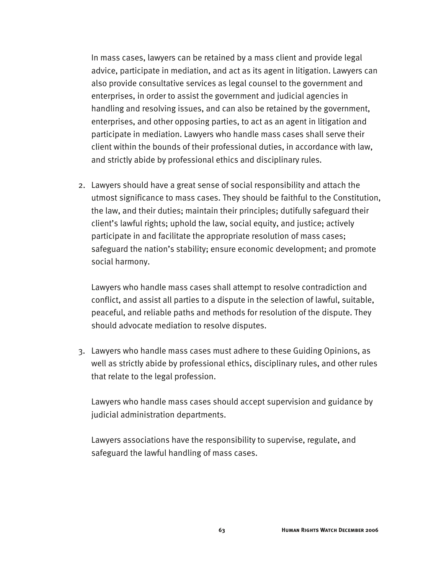In mass cases, lawyers can be retained by a mass client and provide legal advice, participate in mediation, and act as its agent in litigation. Lawyers can also provide consultative services as legal counsel to the government and enterprises, in order to assist the government and judicial agencies in handling and resolving issues, and can also be retained by the government, enterprises, and other opposing parties, to act as an agent in litigation and participate in mediation. Lawyers who handle mass cases shall serve their client within the bounds of their professional duties, in accordance with law, and strictly abide by professional ethics and disciplinary rules.

2. Lawyers should have a great sense of social responsibility and attach the utmost significance to mass cases. They should be faithful to the Constitution, the law, and their duties; maintain their principles; dutifully safeguard their client's lawful rights; uphold the law, social equity, and justice; actively participate in and facilitate the appropriate resolution of mass cases; safeguard the nation's stability; ensure economic development; and promote social harmony.

Lawyers who handle mass cases shall attempt to resolve contradiction and conflict, and assist all parties to a dispute in the selection of lawful, suitable, peaceful, and reliable paths and methods for resolution of the dispute. They should advocate mediation to resolve disputes.

3. Lawyers who handle mass cases must adhere to these Guiding Opinions, as well as strictly abide by professional ethics, disciplinary rules, and other rules that relate to the legal profession.

Lawyers who handle mass cases should accept supervision and guidance by judicial administration departments.

Lawyers associations have the responsibility to supervise, regulate, and safeguard the lawful handling of mass cases.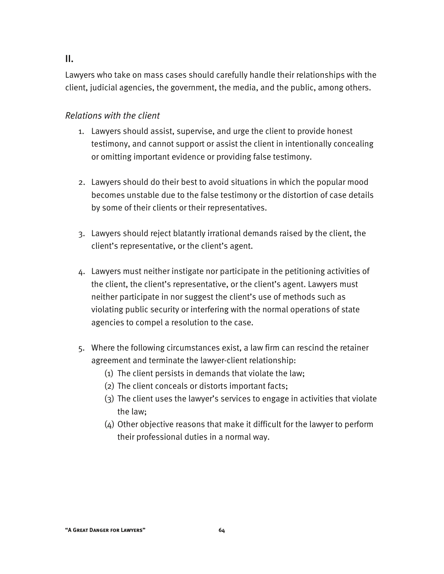#### II.

Lawyers who take on mass cases should carefully handle their relationships with the client, judicial agencies, the government, the media, and the public, among others.

#### *Relations with the client*

- 1. Lawyers should assist, supervise, and urge the client to provide honest testimony, and cannot support or assist the client in intentionally concealing or omitting important evidence or providing false testimony.
- 2. Lawyers should do their best to avoid situations in which the popular mood becomes unstable due to the false testimony or the distortion of case details by some of their clients or their representatives.
- 3. Lawyers should reject blatantly irrational demands raised by the client, the client's representative, or the client's agent.
- 4. Lawyers must neither instigate nor participate in the petitioning activities of the client, the client's representative, or the client's agent. Lawyers must neither participate in nor suggest the client's use of methods such as violating public security or interfering with the normal operations of state agencies to compel a resolution to the case.
- 5. Where the following circumstances exist, a law firm can rescind the retainer agreement and terminate the lawyer-client relationship:
	- (1) The client persists in demands that violate the law;
	- (2) The client conceals or distorts important facts;
	- (3) The client uses the lawyer's services to engage in activities that violate the law;
	- (4) Other objective reasons that make it difficult for the lawyer to perform their professional duties in a normal way.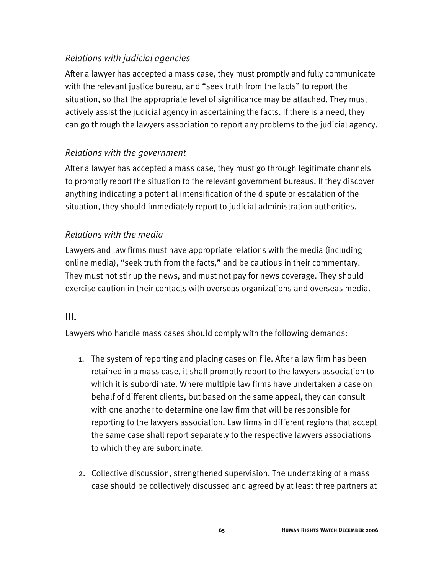### *Relations with judicial agencies*

After a lawyer has accepted a mass case, they must promptly and fully communicate with the relevant justice bureau, and "seek truth from the facts" to report the situation, so that the appropriate level of significance may be attached. They must actively assist the judicial agency in ascertaining the facts. If there is a need, they can go through the lawyers association to report any problems to the judicial agency.

#### *Relations with the government*

After a lawyer has accepted a mass case, they must go through legitimate channels to promptly report the situation to the relevant government bureaus. If they discover anything indicating a potential intensification of the dispute or escalation of the situation, they should immediately report to judicial administration authorities.

## *Relations with the media*

Lawyers and law firms must have appropriate relations with the media (including online media), "seek truth from the facts," and be cautious in their commentary. They must not stir up the news, and must not pay for news coverage. They should exercise caution in their contacts with overseas organizations and overseas media.

#### III.

Lawyers who handle mass cases should comply with the following demands:

- 1. The system of reporting and placing cases on file. After a law firm has been retained in a mass case, it shall promptly report to the lawyers association to which it is subordinate. Where multiple law firms have undertaken a case on behalf of different clients, but based on the same appeal, they can consult with one another to determine one law firm that will be responsible for reporting to the lawyers association. Law firms in different regions that accept the same case shall report separately to the respective lawyers associations to which they are subordinate.
- 2. Collective discussion, strengthened supervision. The undertaking of a mass case should be collectively discussed and agreed by at least three partners at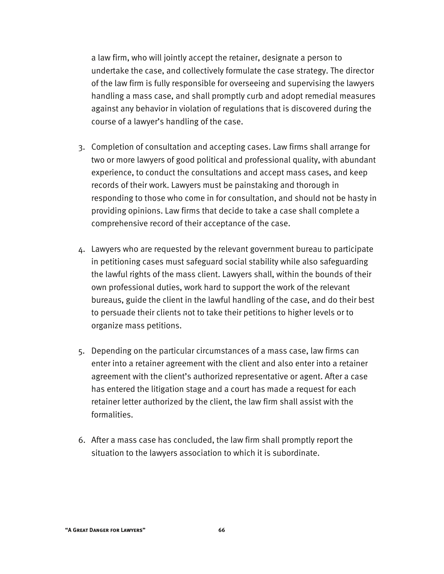a law firm, who will jointly accept the retainer, designate a person to undertake the case, and collectively formulate the case strategy. The director of the law firm is fully responsible for overseeing and supervising the lawyers handling a mass case, and shall promptly curb and adopt remedial measures against any behavior in violation of regulations that is discovered during the course of a lawyer's handling of the case.

- 3. Completion of consultation and accepting cases. Law firms shall arrange for two or more lawyers of good political and professional quality, with abundant experience, to conduct the consultations and accept mass cases, and keep records of their work. Lawyers must be painstaking and thorough in responding to those who come in for consultation, and should not be hasty in providing opinions. Law firms that decide to take a case shall complete a comprehensive record of their acceptance of the case.
- 4. Lawyers who are requested by the relevant government bureau to participate in petitioning cases must safeguard social stability while also safeguarding the lawful rights of the mass client. Lawyers shall, within the bounds of their own professional duties, work hard to support the work of the relevant bureaus, guide the client in the lawful handling of the case, and do their best to persuade their clients not to take their petitions to higher levels or to organize mass petitions.
- 5. Depending on the particular circumstances of a mass case, law firms can enter into a retainer agreement with the client and also enter into a retainer agreement with the client's authorized representative or agent. After a case has entered the litigation stage and a court has made a request for each retainer letter authorized by the client, the law firm shall assist with the formalities.
- 6. After a mass case has concluded, the law firm shall promptly report the situation to the lawyers association to which it is subordinate.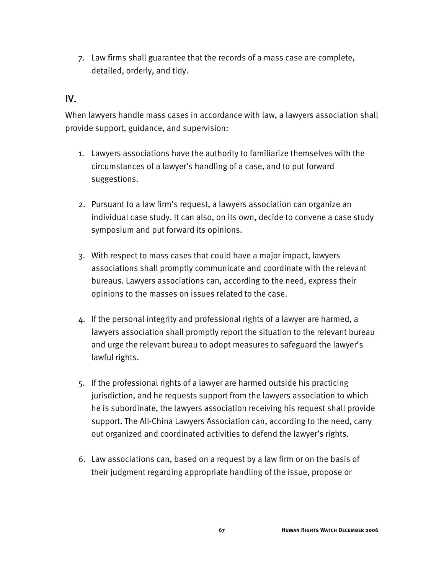7. Law firms shall guarantee that the records of a mass case are complete, detailed, orderly, and tidy.

### IV.

When lawyers handle mass cases in accordance with law, a lawyers association shall provide support, guidance, and supervision:

- 1. Lawyers associations have the authority to familiarize themselves with the circumstances of a lawyer's handling of a case, and to put forward suggestions.
- 2. Pursuant to a law firm's request, a lawyers association can organize an individual case study. It can also, on its own, decide to convene a case study symposium and put forward its opinions.
- 3. With respect to mass cases that could have a major impact, lawyers associations shall promptly communicate and coordinate with the relevant bureaus. Lawyers associations can, according to the need, express their opinions to the masses on issues related to the case.
- 4. If the personal integrity and professional rights of a lawyer are harmed, a lawyers association shall promptly report the situation to the relevant bureau and urge the relevant bureau to adopt measures to safeguard the lawyer's lawful rights.
- 5. If the professional rights of a lawyer are harmed outside his practicing jurisdiction, and he requests support from the lawyers association to which he is subordinate, the lawyers association receiving his request shall provide support. The All-China Lawyers Association can, according to the need, carry out organized and coordinated activities to defend the lawyer's rights.
- 6. Law associations can, based on a request by a law firm or on the basis of their judgment regarding appropriate handling of the issue, propose or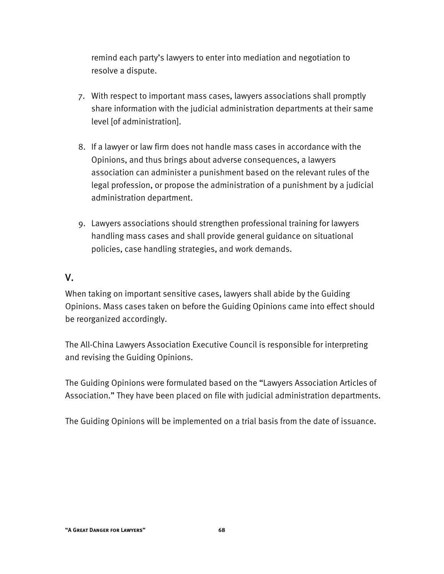remind each party's lawyers to enter into mediation and negotiation to resolve a dispute.

- 7. With respect to important mass cases, lawyers associations shall promptly share information with the judicial administration departments at their same level [of administration].
- 8. If a lawyer or law firm does not handle mass cases in accordance with the Opinions, and thus brings about adverse consequences, a lawyers association can administer a punishment based on the relevant rules of the legal profession, or propose the administration of a punishment by a judicial administration department.
- 9. Lawyers associations should strengthen professional training for lawyers handling mass cases and shall provide general guidance on situational policies, case handling strategies, and work demands.

#### V.

When taking on important sensitive cases, lawyers shall abide by the Guiding Opinions. Mass cases taken on before the Guiding Opinions came into effect should be reorganized accordingly.

The All-China Lawyers Association Executive Council is responsible for interpreting and revising the Guiding Opinions.

The Guiding Opinions were formulated based on the "Lawyers Association Articles of Association." They have been placed on file with judicial administration departments.

The Guiding Opinions will be implemented on a trial basis from the date of issuance.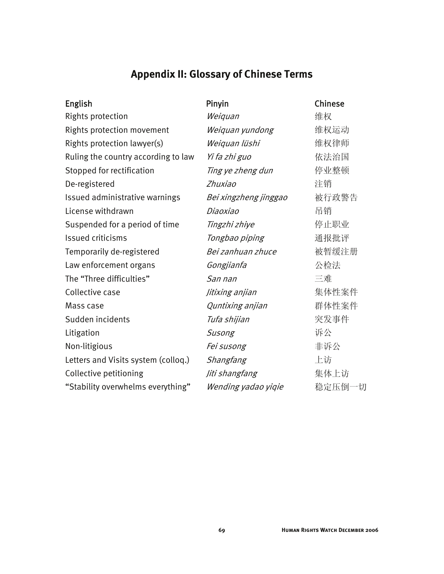# **Appendix II: Glossary of Chinese Terms**

| <b>English</b>                      | Pinyin                | Chinese |
|-------------------------------------|-----------------------|---------|
| <b>Rights protection</b>            | Weiquan               | 维权      |
| Rights protection movement          | Weiquan yundong       | 维权运动    |
| Rights protection lawyer(s)         | Weiquan lüshi         | 维权律师    |
| Ruling the country according to law | Yi fa zhi guo         | 依法治国    |
| Stopped for rectification           | Ting ye zheng dun     | 停业整顿    |
| De-registered                       | Zhuxiao               | 注销      |
| Issued administrative warnings      | Bei xingzheng jinggao | 被行政警告   |
| License withdrawn                   | Diaoxiao              | 吊销      |
| Suspended for a period of time      | Tingzhi zhiye         | 停止职业    |
| <b>Issued criticisms</b>            | Tongbao piping        | 通报批评    |
| Temporarily de-registered           | Bei zanhuan zhuce     | 被暂缓注册   |
| Law enforcement organs              | Gongjianfa            | 公检法     |
| The "Three difficulties"            | San nan               | 三难      |
| Collective case                     | Jitixing anjian       | 集体性案件   |
| Mass case                           | Quntixing anjian      | 群体性案件   |
| Sudden incidents                    | Tufa shijian          | 突发事件    |
| Litigation                          | Susong                | 诉公      |
| Non-litigious                       | Fei susong            | 非诉公     |
| Letters and Visits system (colloq.) | Shangfang             | 上访      |
| Collective petitioning              | Jiti shangfang        | 集体上访    |
| "Stability overwhelms everything"   | Wending yadao yiqie   | 稳定压倒一切  |
|                                     |                       |         |